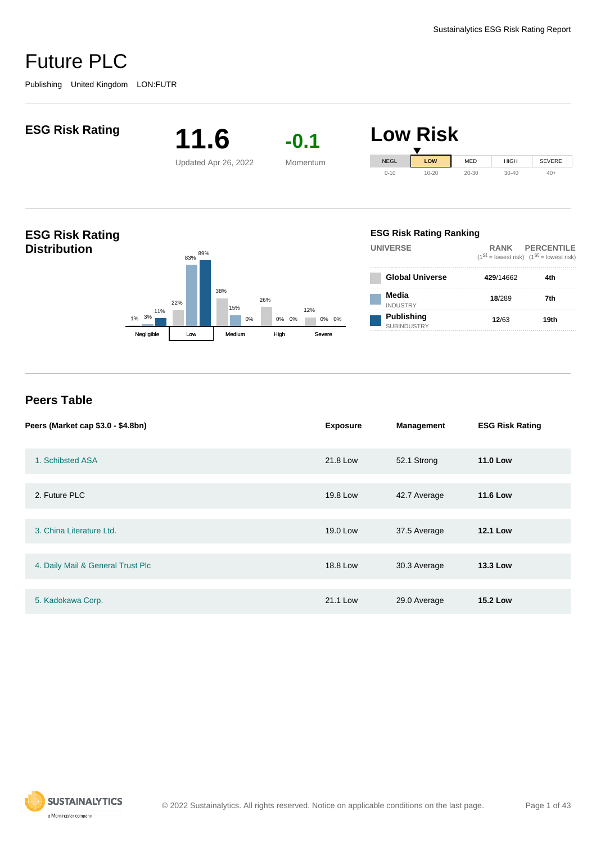

#### **Peers Table**

| Peers (Market cap \$3.0 - \$4.8bn) | <b>Exposure</b> | <b>Management</b> | <b>ESG Risk Rating</b> |
|------------------------------------|-----------------|-------------------|------------------------|
| 1. Schibsted ASA                   | 21.8 Low        | 52.1 Strong       | <b>11.0 Low</b>        |
|                                    |                 |                   |                        |
| 2. Future PLC                      | 19.8 Low        | 42.7 Average      | <b>11.6 Low</b>        |
|                                    |                 |                   |                        |
| 3. China Literature Ltd.           | 19.0 Low        | 37.5 Average      | <b>12.1 Low</b>        |
|                                    |                 |                   |                        |
| 4. Daily Mail & General Trust Plc  | 18.8 Low        | 30.3 Average      | <b>13.3 Low</b>        |
|                                    |                 |                   |                        |
| 5. Kadokawa Corp.                  | 21.1 Low        | 29.0 Average      | <b>15.2 Low</b>        |

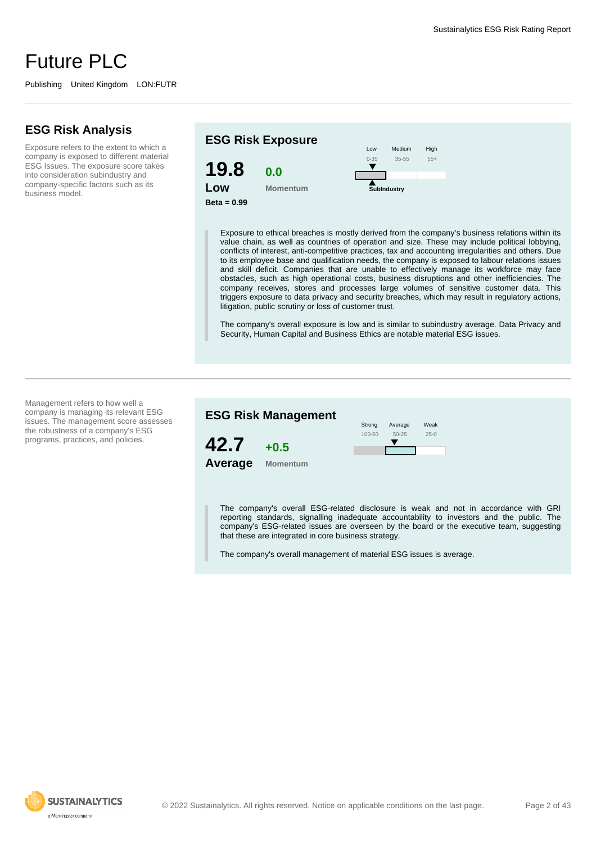Publishing United Kingdom LON:FUTR

#### **ESG Risk Analysis**

Exposure refers to the extent to which a company is exposed to different material ESG Issues. The exposure score takes into consideration subindustry and company-specific factors such as its business model.



Exposure to ethical breaches is mostly derived from the company's business relations within its value chain, as well as countries of operation and size. These may include political lobbying, conflicts of interest, anti-competitive practices, tax and accounting irregularities and others. Due to its employee base and qualification needs, the company is exposed to labour relations issues and skill deficit. Companies that are unable to effectively manage its workforce may face obstacles, such as high operational costs, business disruptions and other inefficiencies. The company receives, stores and processes large volumes of sensitive customer data. This triggers exposure to data privacy and security breaches, which may result in regulatory actions, litigation, public scrutiny or loss of customer trust.

The company's overall exposure is low and is similar to subindustry average. Data Privacy and Security, Human Capital and Business Ethics are notable material ESG issues.

Management refers to how well a company is managing its relevant ESG issues. The management score assesses the robustness of a company's ESG programs, practices, and policies.



The company's overall ESG-related disclosure is weak and not in accordance with GRI reporting standards, signalling inadequate accountability to investors and the public. The company's ESG-related issues are overseen by the board or the executive team, suggesting that these are integrated in core business strategy.

The company's overall management of material ESG issues is average.



© 2022 Sustainalytics. All rights reserved. Notice on applicable conditions on the last page. Page 2 of 43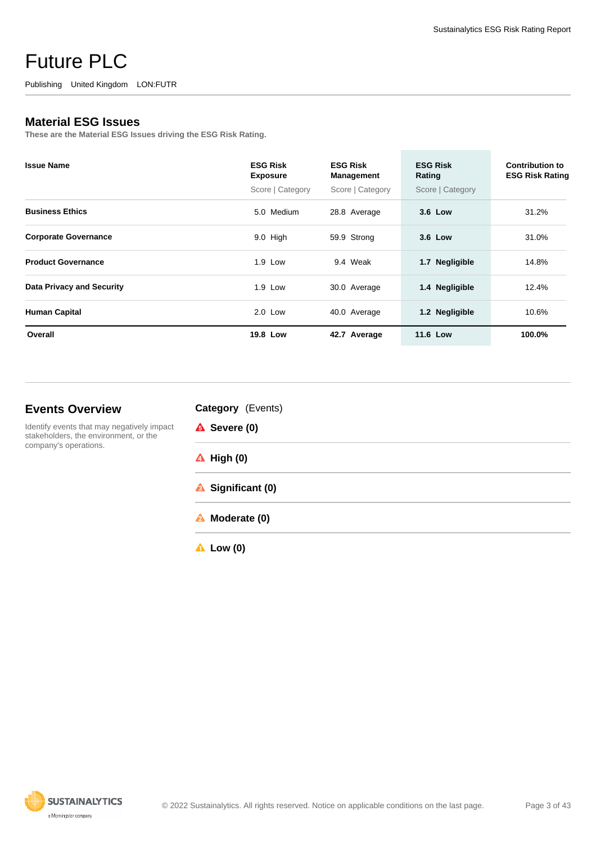Publishing United Kingdom LON:FUTR

#### **Material ESG Issues**

**These are the Material ESG Issues driving the ESG Risk Rating.**

| <b>Issue Name</b>                | <b>ESG Risk</b><br><b>Exposure</b><br>Score   Category | <b>ESG Risk</b><br>Management<br>Score   Category | <b>ESG Risk</b><br>Rating<br>Score   Category | <b>Contribution to</b><br><b>ESG Risk Rating</b> |
|----------------------------------|--------------------------------------------------------|---------------------------------------------------|-----------------------------------------------|--------------------------------------------------|
|                                  |                                                        |                                                   |                                               |                                                  |
| <b>Business Ethics</b>           | 5.0 Medium                                             | 28.8 Average                                      | 3.6 Low                                       | 31.2%                                            |
| <b>Corporate Governance</b>      | $9.0$ High                                             | 59.9 Strong                                       | 3.6 Low                                       | 31.0%                                            |
| <b>Product Governance</b>        | 1.9 Low                                                | 9.4 Weak                                          | <b>Negligible</b><br>1.7                      | 14.8%                                            |
| <b>Data Privacy and Security</b> | 1.9 Low                                                | 30.0 Average                                      | 1.4 Negligible                                | 12.4%                                            |
| <b>Human Capital</b>             | $2.0$ Low                                              | 40.0 Average                                      | 1.2 Negligible                                | 10.6%                                            |
| Overall                          | 19.8 Low                                               | 42.7 Average                                      | <b>11.6 Low</b>                               | 100.0%                                           |

#### **Events Overview**

Identify events that may negatively impact stakeholders, the environment, or the company's operations.

| Category (Events) |  |
|-------------------|--|
|-------------------|--|

| <b>A</b> Severe (0)   |  |  |
|-----------------------|--|--|
| $\triangle$ High (0)  |  |  |
| Significant (0)       |  |  |
| <b>A</b> Moderate (0) |  |  |
|                       |  |  |

**Low (0)**

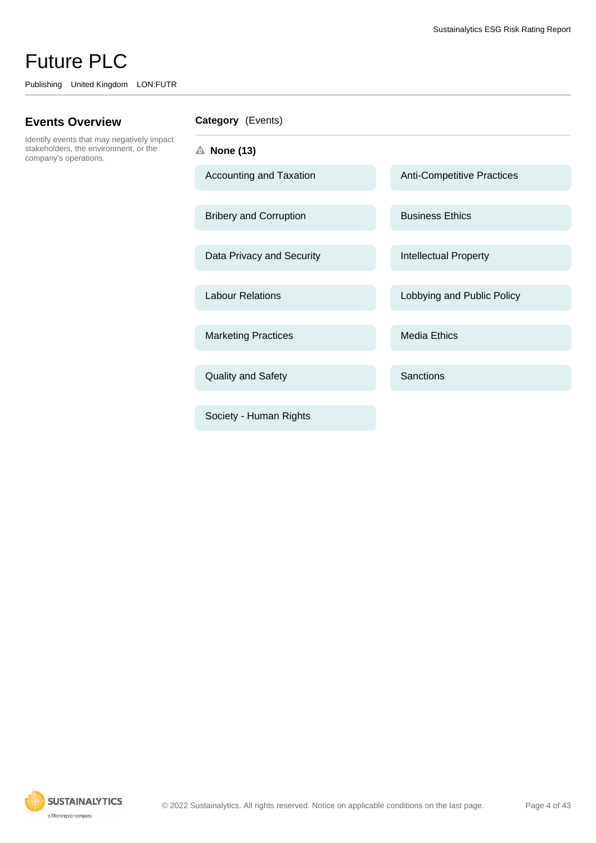Publishing United Kingdom LON:FUTR

#### **Events Overview**

Identify events that may negatively impact stakeholders, the environment, or the company's operations.

| <b>Category</b> (Events) |  |
|--------------------------|--|
|--------------------------|--|

**None (13)**

Bribery and Corruption Business Ethics

Data Privacy and Security **Intellectual Property** 

Marketing Practices Media Ethics

Quality and Safety Sanctions

Society - Human Rights

Accounting and Taxation Anti-Competitive Practices

Labour Relations **Labour Relations** Lobbying and Public Policy

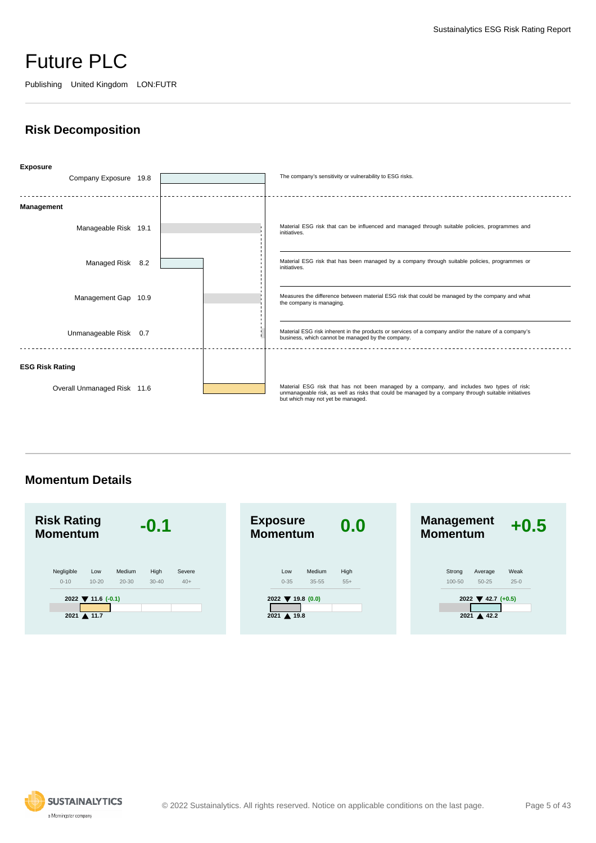Publishing United Kingdom LON:FUTR

### **Risk Decomposition**



**Momentum Details**



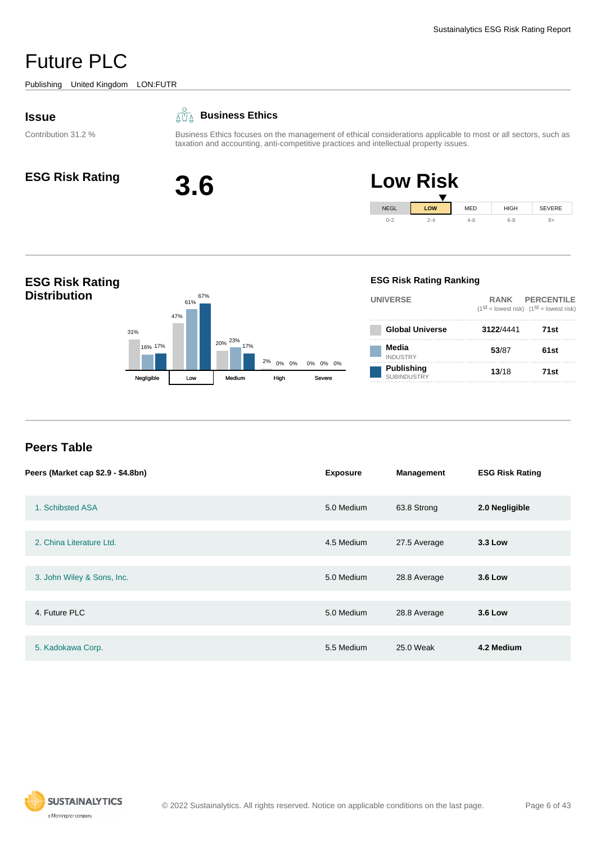<span id="page-5-0"></span>Publishing United Kingdom LON:FUTR

#### **Issue**

Contribution 31.2 %

#### **Business Ethics**

Business Ethics focuses on the management of ethical considerations applicable to most or all sectors, such as taxation and accounting, anti-competitive practices and intellectual property issues.







### **Peers Table**

| Peers (Market cap \$2.9 - \$4.8bn) | <b>Exposure</b> | <b>Management</b> | <b>ESG Risk Rating</b> |
|------------------------------------|-----------------|-------------------|------------------------|
| 1. Schibsted ASA                   | 5.0 Medium      | 63.8 Strong       | 2.0 Negligible         |
|                                    |                 |                   |                        |
| 2. China Literature Ltd.           | 4.5 Medium      | 27.5 Average      | 3.3 Low                |
|                                    |                 |                   |                        |
| 3. John Wiley & Sons, Inc.         | 5.0 Medium      | 28.8 Average      | <b>3.6 Low</b>         |
|                                    |                 |                   |                        |
| 4. Future PLC                      | 5.0 Medium      | 28.8 Average      | <b>3.6 Low</b>         |
|                                    |                 |                   |                        |
| 5. Kadokawa Corp.                  | 5.5 Medium      | 25.0 Weak         | 4.2 Medium             |

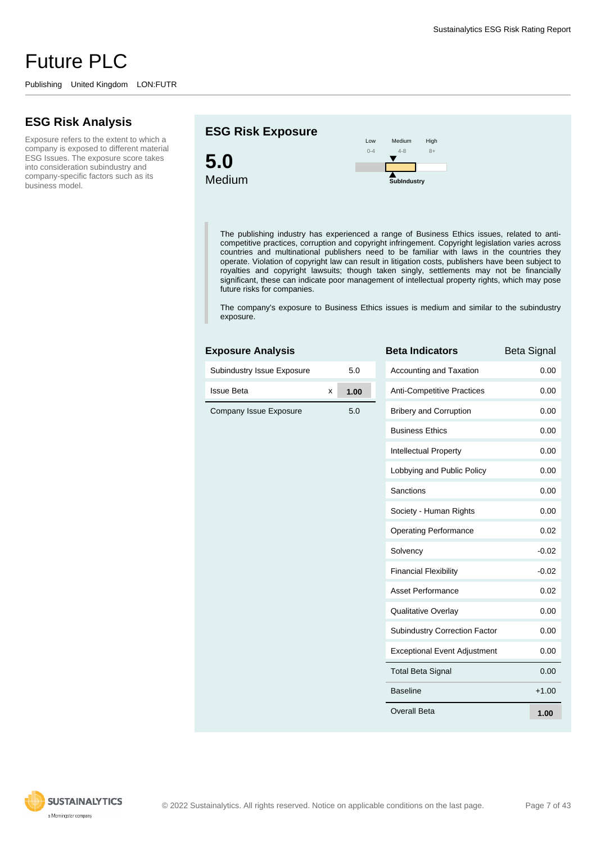#### **ESG Risk Analysis**

Exposure refers to the extent to which a company is exposed to different material ESG Issues. The exposure score takes into consideration subindustry and company-specific factors such as its business model.

#### **ESG Risk Exposure**





The publishing industry has experienced a range of Business Ethics issues, related to anticompetitive practices, corruption and copyright infringement. Copyright legislation varies across countries and multinational publishers need to be familiar with laws in the countries they operate. Violation of copyright law can result in litigation costs, publishers have been subject to royalties and copyright lawsuits; though taken singly, settlements may not be financially significant, these can indicate poor management of intellectual property rights, which may pose future risks for companies.

The company's exposure to Business Ethics issues is medium and similar to the subindustry exposure.

#### **Exposure Analysis**

| Subindustry Issue Exposure |   | 5.0     | Ac  |
|----------------------------|---|---------|-----|
| <b>Issue Beta</b>          | X | 1.00    | An  |
| Company Issue Exposure     |   | $5.0\,$ | Bri |
|                            |   |         | Bu  |
|                            |   |         | Int |
|                            |   |         | Lo  |
|                            |   |         | Sa  |
|                            |   |         | So  |
|                            |   |         | Op  |
|                            |   |         | So  |
|                            |   |         | Fir |
|                            |   |         | As  |
|                            |   |         | Qu  |
|                            |   |         | Su  |
|                            |   |         | Ex  |
|                            |   |         | To  |
|                            |   |         | Ba  |

| <b>Beta Indicators</b>               | <b>Beta Signal</b> |
|--------------------------------------|--------------------|
| Accounting and Taxation              | 0.00               |
| <b>Anti-Competitive Practices</b>    | 0.00               |
| <b>Bribery and Corruption</b>        | 0.00               |
| <b>Business Ethics</b>               | 0.00               |
| Intellectual Property                | 0.00               |
| Lobbying and Public Policy           | 0.00               |
| Sanctions                            | 0.00               |
| Society - Human Rights               | 0.00               |
| <b>Operating Performance</b>         | 0.02               |
| Solvency                             | $-0.02$            |
| <b>Financial Flexibility</b>         | $-0.02$            |
| Asset Performance                    | 0.02               |
| <b>Qualitative Overlay</b>           | 0.00               |
| <b>Subindustry Correction Factor</b> | 0.00               |
| <b>Exceptional Event Adjustment</b>  | 0.00               |
| <b>Total Beta Signal</b>             | 0.00               |
| <b>Baseline</b>                      | $+1.00$            |
| Overall Beta                         | 1.00               |

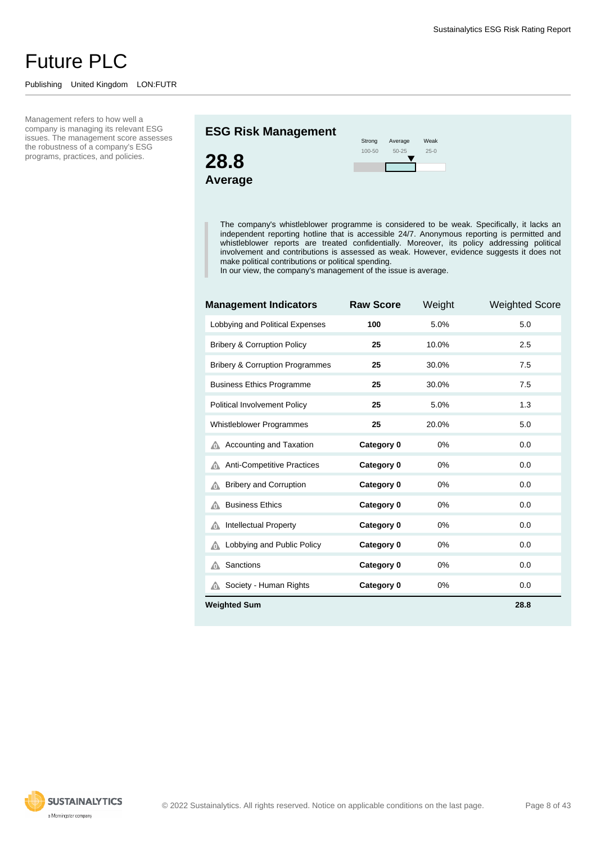#### Publishing United Kingdom LON:FUTR

Management refers to how well a company is managing its relevant ESG issues. The management score assesses the robustness of a company's ESG programs, practices, and policies.

#### **ESG Risk Management**





The company's whistleblower programme is considered to be weak. Specifically, it lacks an independent reporting hotline that is accessible 24/7. Anonymous reporting is permitted and whistleblower reports are treated confidentially. Moreover, its policy addressing political involvement and contributions is assessed as weak. However, evidence suggests it does not make political contributions or political spending.

In our view, the company's management of the issue is average.

| <b>Management Indicators</b>               | <b>Raw Score</b> | Weight | <b>Weighted Score</b> |
|--------------------------------------------|------------------|--------|-----------------------|
| Lobbying and Political Expenses            | 100              | 5.0%   | 5.0                   |
| <b>Bribery &amp; Corruption Policy</b>     | 25               | 10.0%  | 2.5                   |
| <b>Bribery &amp; Corruption Programmes</b> | 25               | 30.0%  | 7.5                   |
| <b>Business Ethics Programme</b>           | 25               | 30.0%  | 7.5                   |
| Political Involvement Policy               | 25               | 5.0%   | 1.3                   |
| Whistleblower Programmes                   | 25               | 20.0%  | 5.0                   |
| Accounting and Taxation<br>⋒               | Category 0       | 0%     | 0.0                   |
| <b>Anti-Competitive Practices</b><br>⋒     | Category 0       | 0%     | 0.0                   |
| <b>Bribery and Corruption</b><br>⚠         | Category 0       | 0%     | 0.0                   |
| <b>Business Ethics</b><br>⋒                | Category 0       | 0%     | 0.0                   |
| <b>Intellectual Property</b><br>⚠          | Category 0       | 0%     | 0.0                   |
| Lobbying and Public Policy<br>⚠            | Category 0       | 0%     | 0.0                   |
| Sanctions<br>⋒                             | Category 0       | 0%     | 0.0                   |
| Society - Human Rights<br>⋒                | Category 0       | 0%     | 0.0                   |
| <b>Weighted Sum</b>                        |                  |        | 28.8                  |

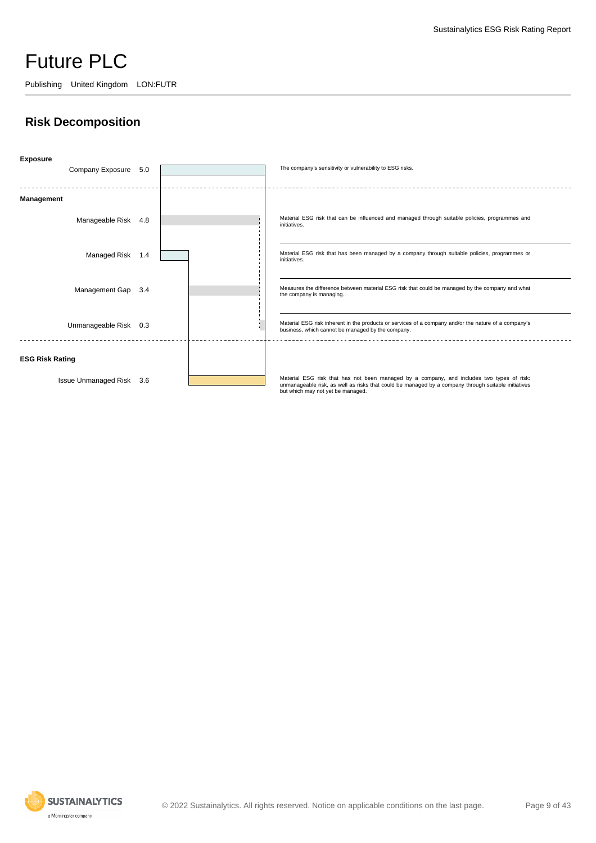Publishing United Kingdom LON:FUTR

### **Risk Decomposition**



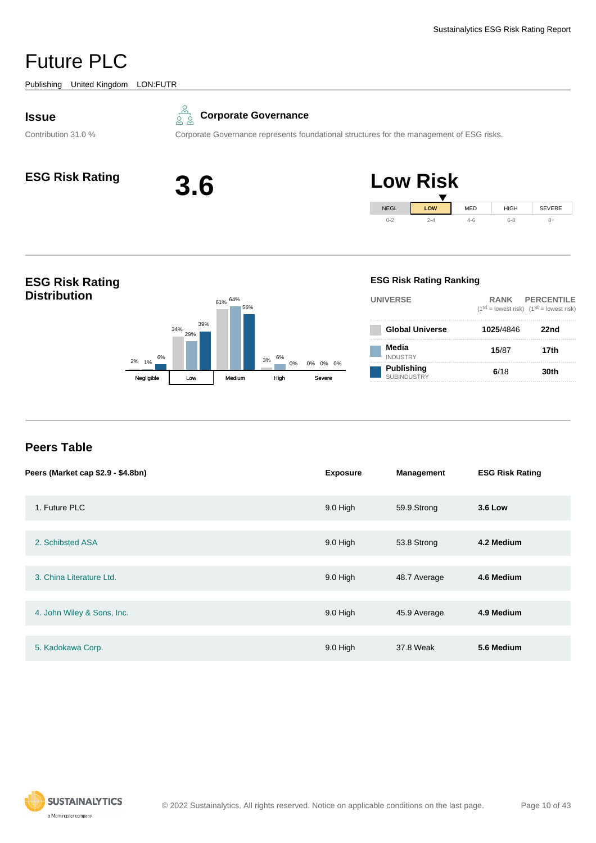<span id="page-9-0"></span>Publishing United Kingdom LON:FUTR

#### **Issue**

Contribution 31.0 %



Corporate Governance represents foundational structures for the management of ESG risks.





#### **ESG Risk Rating Distribution** 2% 34% 61% 64% 3% 1% 0% 29% 6% 0% 6% 39% 56% 0% 0% Negligible Low Medium High **ESG Risk Rating Ranking UNIVERSE RANK PERCENTILE**  $(1^{st} =$  lowest risk)  $(1^{st} =$  lowest risk) **Global Universe 1025**/4846 **22nd Media** INDUSTRY **15**/87 **17th Publishing** SUBINDUSTRY **6**/18 **30th**

### **Peers Table**

| Peers (Market cap \$2.9 - \$4.8bn) | <b>Exposure</b> | <b>Management</b> | <b>ESG Risk Rating</b> |
|------------------------------------|-----------------|-------------------|------------------------|
| 1. Future PLC                      | 9.0 High        | 59.9 Strong       | <b>3.6 Low</b>         |
|                                    |                 |                   |                        |
| 2. Schibsted ASA                   | 9.0 High        | 53.8 Strong       | 4.2 Medium             |
|                                    |                 |                   |                        |
| 3. China Literature Ltd.           | 9.0 High        | 48.7 Average      | 4.6 Medium             |
|                                    |                 |                   |                        |
| 4. John Wiley & Sons, Inc.         | 9.0 High        | 45.9 Average      | 4.9 Medium             |
|                                    |                 |                   |                        |
| 5. Kadokawa Corp.                  | 9.0 High        | 37.8 Weak         | 5.6 Medium             |

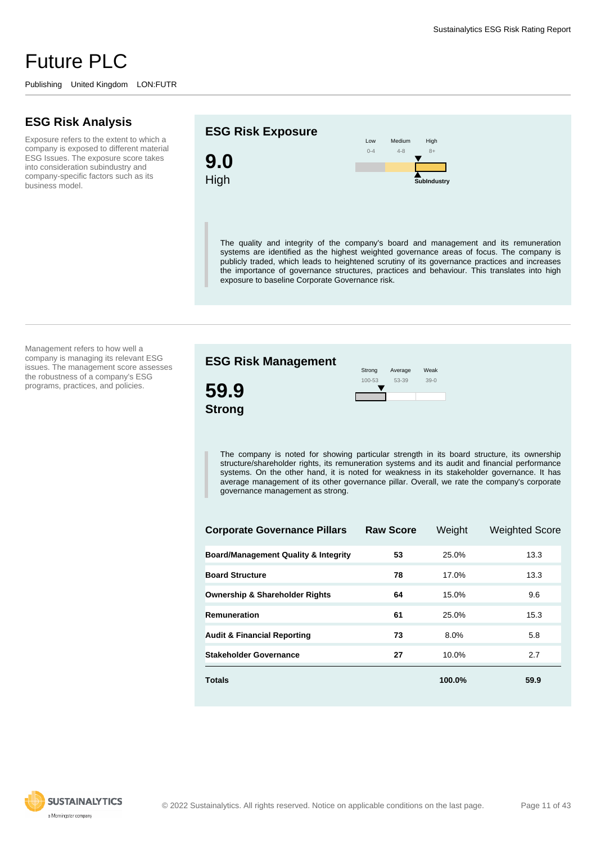#### **ESG Risk Analysis**

Exposure refers to the extent to which a company is exposed to different material ESG Issues. The exposure score takes into consideration subindustry and company-specific factors such as its business model.

#### **ESG Risk Exposure**



Low  $0 - 4$ Medium 4-8 High 8+ **SubIndustry**

The quality and integrity of the company's board and management and its remuneration systems are identified as the highest weighted governance areas of focus. The company is publicly traded, which leads to heightened scrutiny of its governance practices and increases the importance of governance structures, practices and behaviour. This translates into high exposure to baseline Corporate Governance risk.

Management refers to how well a company is managing its relevant ESG issues. The management score assesses the robustness of a company's ESG programs, practices, and policies.



The company is noted for showing particular strength in its board structure, its ownership structure/shareholder rights, its remuneration systems and its audit and financial performance systems. On the other hand, it is noted for weakness in its stakeholder governance. It has average management of its other governance pillar. Overall, we rate the company's corporate governance management as strong.

| <b>Corporate Governance Pillars</b>             | <b>Raw Score</b> | Weight | <b>Weighted Score</b> |
|-------------------------------------------------|------------------|--------|-----------------------|
| <b>Board/Management Quality &amp; Integrity</b> | 53               | 25.0%  | 13.3                  |
| <b>Board Structure</b>                          | 78               | 17.0%  | 13.3                  |
| <b>Ownership &amp; Shareholder Rights</b>       | 64               | 15.0%  | 9.6                   |
| Remuneration                                    | 61               | 25.0%  | 15.3                  |
| <b>Audit &amp; Financial Reporting</b>          | 73               | 8.0%   | 5.8                   |
| <b>Stakeholder Governance</b>                   | 27               | 10.0%  | 2.7                   |
| <b>Totals</b>                                   |                  | 100.0% | 59.9                  |

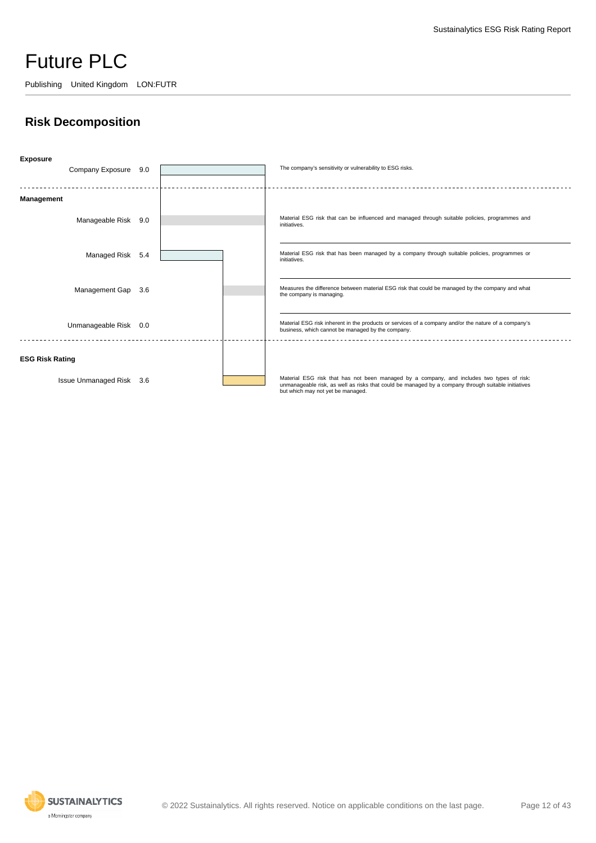Publishing United Kingdom LON:FUTR

### **Risk Decomposition**



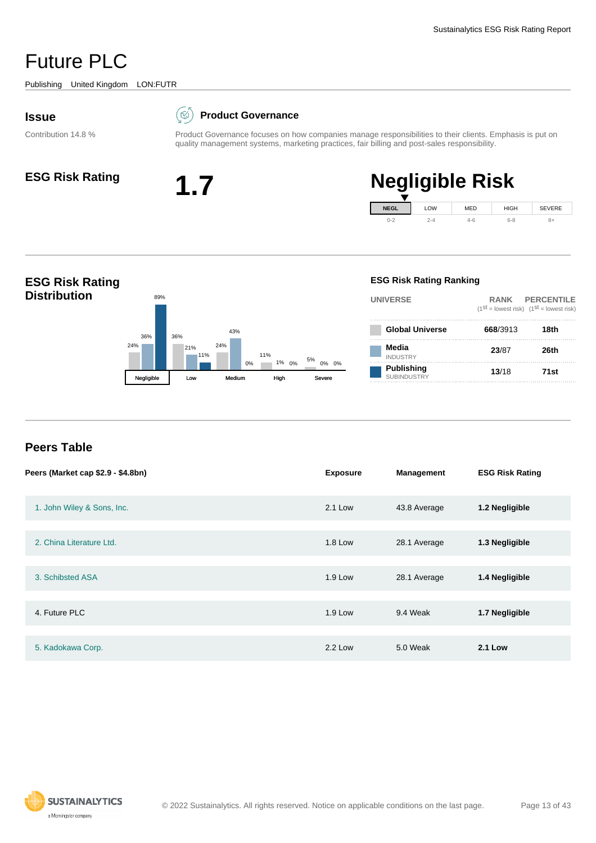<span id="page-12-0"></span>Publishing United Kingdom LON:FUTR

#### **Issue**

Contribution 14.8 %

#### $(\boxtimes)$ **Product Governance**

Product Governance focuses on how companies manage responsibilities to their clients. Emphasis is put on quality management systems, marketing practices, fair billing and post-sales responsibility.



#### **ESG Risk Rating 1.7 Negligible Risk NEGL**  $0 - 2$ LOW 2-4 MED 4-6 HIGH 6-8 SEVERE 8+



#### **Peers Table**

| Peers (Market cap \$2.9 - \$4.8bn) | <b>Exposure</b> | <b>Management</b> | <b>ESG Risk Rating</b> |
|------------------------------------|-----------------|-------------------|------------------------|
| 1. John Wiley & Sons, Inc.         | 2.1 Low         | 43.8 Average      | 1.2 Negligible         |
| 2. China Literature Ltd.           | 1.8 Low         | 28.1 Average      | 1.3 Negligible         |
| 3. Schibsted ASA                   | $1.9$ Low       | 28.1 Average      | 1.4 Negligible         |
| 4. Future PLC                      | $1.9$ Low       | 9.4 Weak          | 1.7 Negligible         |
| 5. Kadokawa Corp.                  | 2.2 Low         | 5.0 Weak          | <b>2.1 Low</b>         |

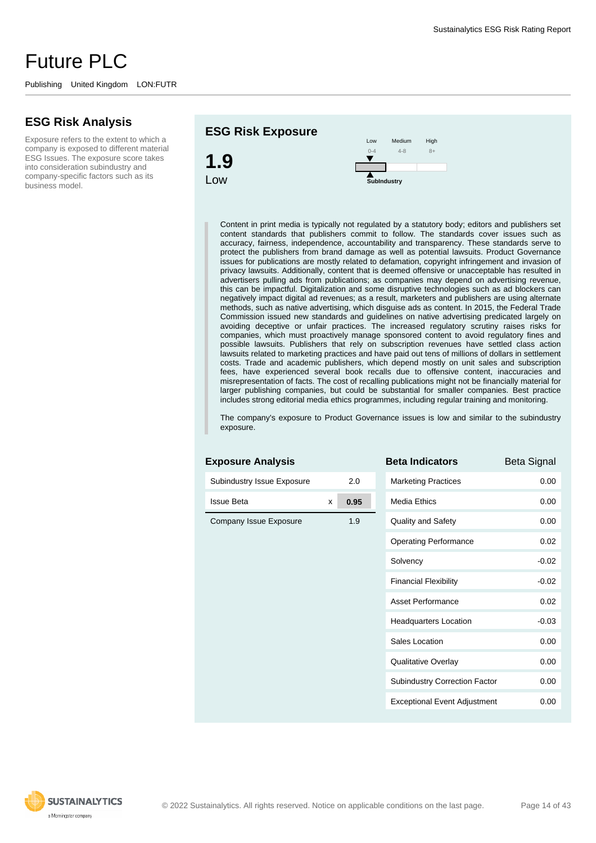#### **ESG Risk Analysis**

Exposure refers to the extent to which a company is exposed to different material ESG Issues. The exposure score takes into consideration subindustry and company-specific factors such as its business model.



Content in print media is typically not regulated by a statutory body; editors and publishers set content standards that publishers commit to follow. The standards cover issues such as accuracy, fairness, independence, accountability and transparency. These standards serve to protect the publishers from brand damage as well as potential lawsuits. Product Governance issues for publications are mostly related to defamation, copyright infringement and invasion of privacy lawsuits. Additionally, content that is deemed offensive or unacceptable has resulted in advertisers pulling ads from publications; as companies may depend on advertising revenue, this can be impactful. Digitalization and some disruptive technologies such as ad blockers can negatively impact digital ad revenues; as a result, marketers and publishers are using alternate methods, such as native advertising, which disguise ads as content. In 2015, the Federal Trade Commission issued new standards and guidelines on native advertising predicated largely on avoiding deceptive or unfair practices. The increased regulatory scrutiny raises risks for companies, which must proactively manage sponsored content to avoid regulatory fines and possible lawsuits. Publishers that rely on subscription revenues have settled class action lawsuits related to marketing practices and have paid out tens of millions of dollars in settlement costs. Trade and academic publishers, which depend mostly on unit sales and subscription fees, have experienced several book recalls due to offensive content, inaccuracies and misrepresentation of facts. The cost of recalling publications might not be financially material for larger publishing companies, but could be substantial for smaller companies. Best practice includes strong editorial media ethics programmes, including regular training and monitoring.

The company's exposure to Product Governance issues is low and similar to the subindustry exposure.

| <b>Exposure Analysis</b>   |   |      | <b>Beta Indicators</b>              | <b>Beta Signal</b> |
|----------------------------|---|------|-------------------------------------|--------------------|
| Subindustry Issue Exposure |   | 2.0  | <b>Marketing Practices</b>          | 0.00               |
| <b>Issue Beta</b>          | x | 0.95 | <b>Media Ethics</b>                 | 0.00               |
| Company Issue Exposure     |   | 1.9  | <b>Quality and Safety</b>           | 0.00               |
|                            |   |      | <b>Operating Performance</b>        | 0.02               |
|                            |   |      | Solvency                            | $-0.02$            |
|                            |   |      | <b>Financial Flexibility</b>        | $-0.02$            |
|                            |   |      | Asset Performance                   | 0.02               |
|                            |   |      | <b>Headquarters Location</b>        | $-0.03$            |
|                            |   |      | Sales Location                      | 0.00               |
|                            |   |      | <b>Qualitative Overlay</b>          | 0.00               |
|                            |   |      | Subindustry Correction Factor       | 0.00               |
|                            |   |      | <b>Exceptional Event Adjustment</b> | 0.00               |

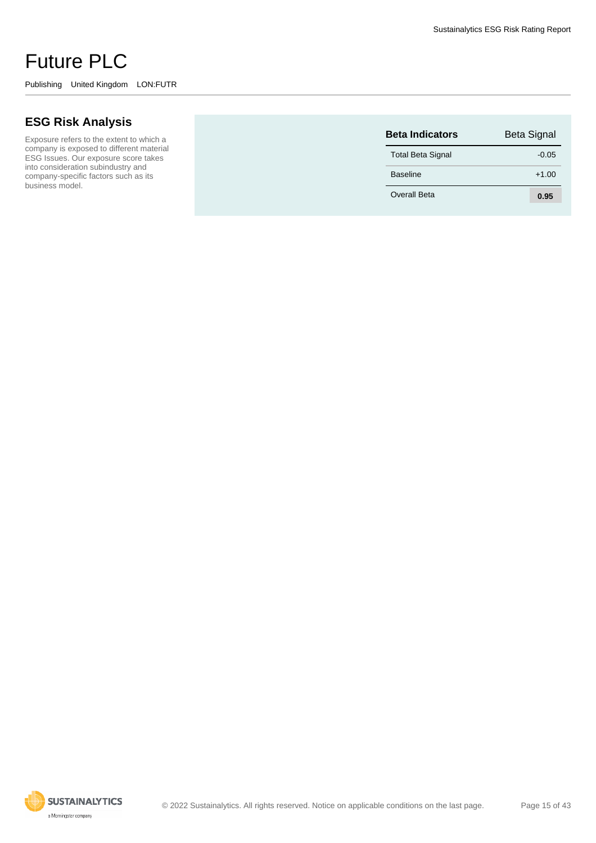Exposure refers to the extent to which a company is exposed to different material ESG Issues. Our exposure score takes into consideration subindustry and company-specific factors such as its business model.

| <b>Beta Indicators</b>   | <b>Beta Signal</b> |
|--------------------------|--------------------|
| <b>Total Beta Signal</b> | $-0.05$            |
| <b>Baseline</b>          | $+1.00$            |
| Overall Beta             | 0.95               |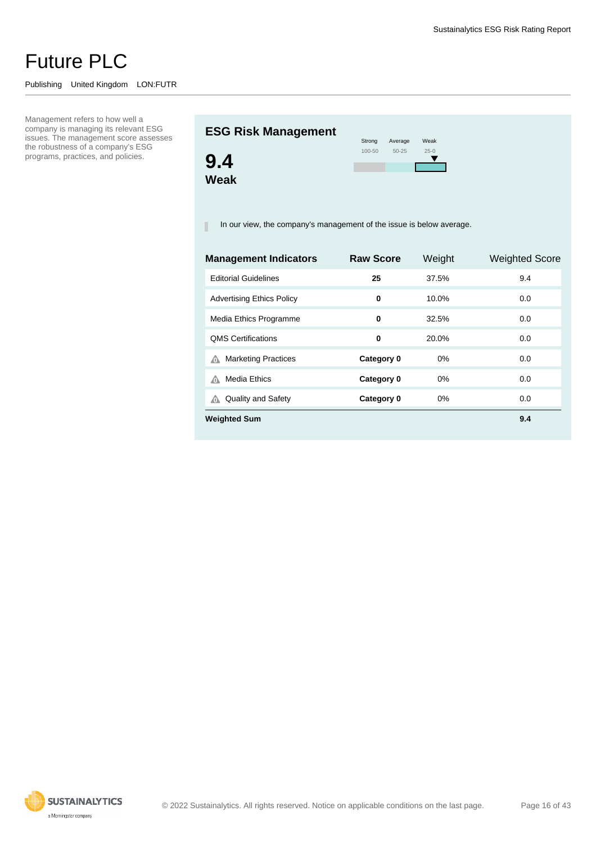#### Publishing United Kingdom LON:FUTR

Management refers to how well a company is managing its relevant ESG issues. The management score assesses the robustness of a company's ESG programs, practices, and policies.

## **ESG Risk Management**



| Strong | Average   | Weak     |
|--------|-----------|----------|
| 100-50 | $50 - 25$ | $25 - 0$ |
|        |           |          |
|        |           |          |
|        |           |          |

In our view, the company's management of the issue is below average. п

| <b>Raw Score</b> | Weight | <b>Weighted Score</b> |
|------------------|--------|-----------------------|
| 25               | 37.5%  | 9.4                   |
| 0                | 10.0%  | 0.0                   |
| 0                | 32.5%  | 0.0                   |
| 0                | 20.0%  | 0.0                   |
| Category 0       | $0\%$  | 0.0                   |
| Category 0       | $0\%$  | 0.0                   |
| Category 0       | $0\%$  | 0.0                   |
|                  |        | 9.4                   |
|                  |        |                       |

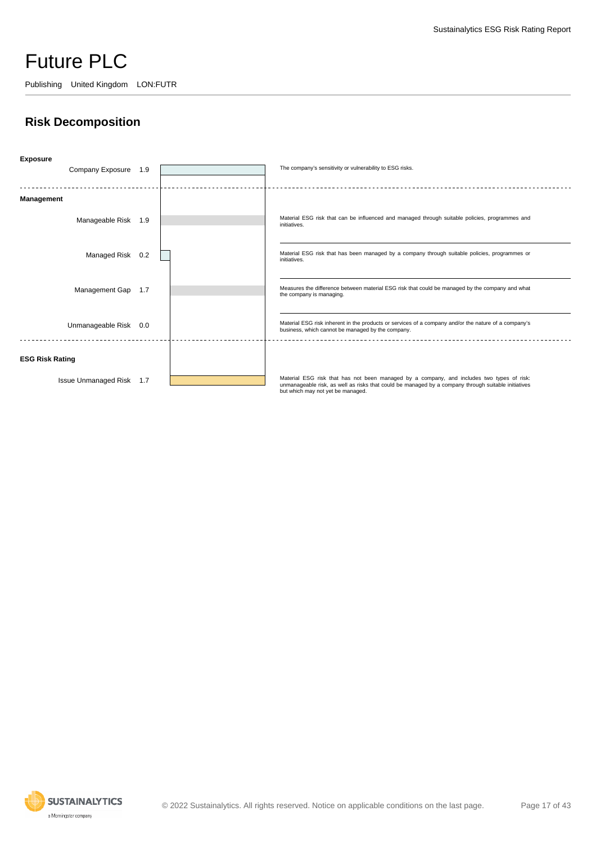Publishing United Kingdom LON:FUTR

### **Risk Decomposition**



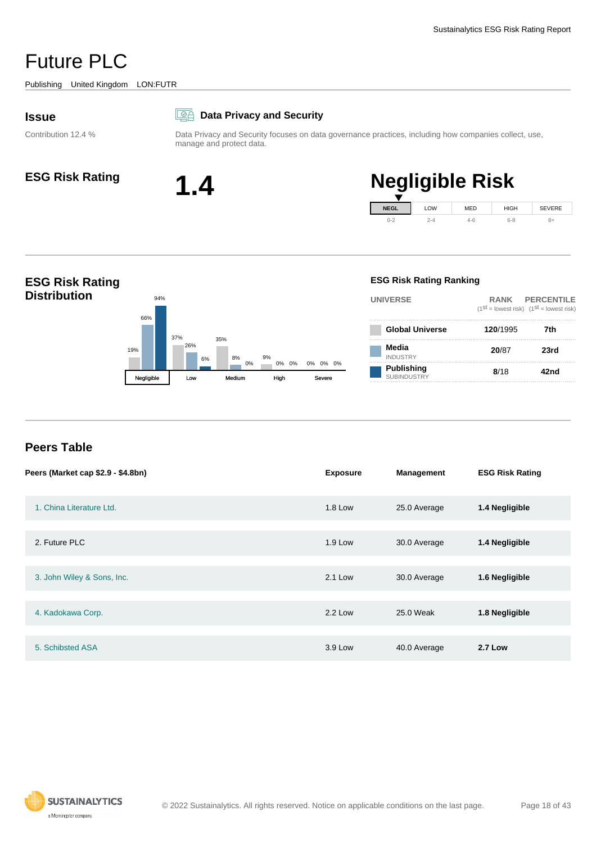<span id="page-17-0"></span>Publishing United Kingdom LON:FUTR

#### **Issue**

Contribution 12.4 %

#### **Data Privacy and Security**

Data Privacy and Security focuses on data governance practices, including how companies collect, use, manage and protect data.



# **ESG Risk Rating 1.4 Negligible Risk**





#### **Peers Table**

| Peers (Market cap \$2.9 - \$4.8bn) | <b>Exposure</b> | <b>Management</b> | <b>ESG Risk Rating</b> |
|------------------------------------|-----------------|-------------------|------------------------|
| 1. China Literature Ltd.           | <b>1.8 Low</b>  | 25.0 Average      | 1.4 Negligible         |
| 2. Future PLC                      | $1.9$ Low       | 30.0 Average      | 1.4 Negligible         |
| 3. John Wiley & Sons, Inc.         | 2.1 Low         | 30.0 Average      | 1.6 Negligible         |
| 4. Kadokawa Corp.                  | 2.2 Low         | 25.0 Weak         | 1.8 Negligible         |
| 5. Schibsted ASA                   | 3.9 Low         | 40.0 Average      | <b>2.7 Low</b>         |

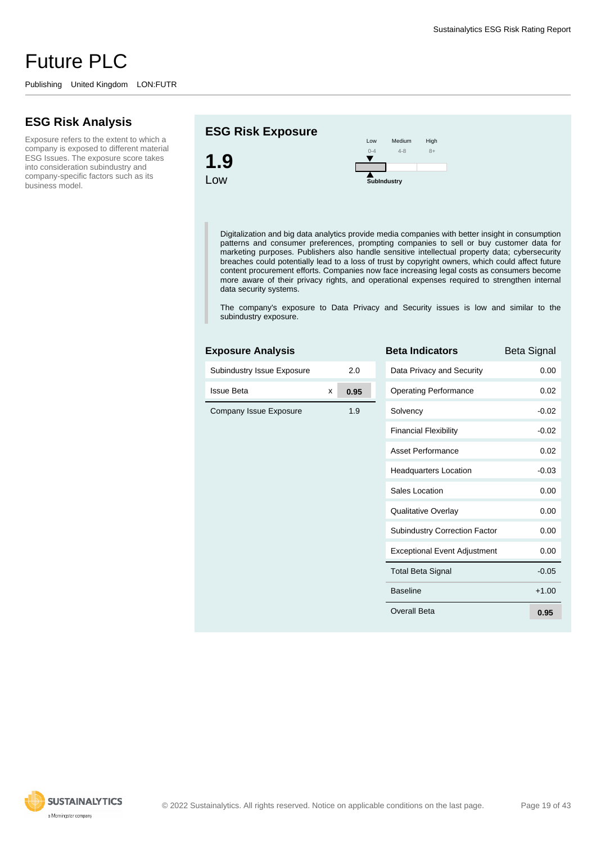#### **ESG Risk Analysis**

Exposure refers to the extent to which a company is exposed to different material ESG Issues. The exposure score takes into consideration subindustry and company-specific factors such as its business model.

#### **ESG Risk Exposure**

**Exposure Analysis**



Digitalization and big data analytics provide media companies with better insight in consumption patterns and consumer preferences, prompting companies to sell or buy customer data for marketing purposes. Publishers also handle sensitive intellectual property data; cybersecurity breaches could potentially lead to a loss of trust by copyright owners, which could affect future content procurement efforts. Companies now face increasing legal costs as consumers become more aware of their privacy rights, and operational expenses required to strengthen internal data security systems.

The company's exposure to Data Privacy and Security issues is low and similar to the subindustry exposure.

| Exposure Analysis          |   |      | D              |
|----------------------------|---|------|----------------|
| Subindustry Issue Exposure |   | 2.0  | Į              |
| <b>Issue Beta</b>          | X | 0.95 | (              |
| Company Issue Exposure     |   | 1.9  | í              |
|                            |   |      | I              |
|                            |   |      | I              |
|                            |   |      | I              |
|                            |   |      | í              |
|                            |   |      | (              |
|                            |   |      | $\ddot{\cdot}$ |
|                            |   |      | I              |
|                            |   |      |                |
|                            |   |      |                |
|                            |   |      | O              |

| <b>Beta Indicators</b>               | Beta Signal |
|--------------------------------------|-------------|
| Data Privacy and Security            | 0.00        |
| <b>Operating Performance</b>         | 0.02        |
| Solvency                             | $-0.02$     |
| <b>Financial Flexibility</b>         | $-0.02$     |
| Asset Performance                    | 0.02        |
| <b>Headquarters Location</b>         | $-0.03$     |
| Sales Location                       | 0.00        |
| Qualitative Overlay                  | 0.00        |
| <b>Subindustry Correction Factor</b> | 0.00        |
| <b>Exceptional Event Adjustment</b>  | 0.00        |
| <b>Total Beta Signal</b>             | $-0.05$     |
| <b>Baseline</b>                      | $+1.00$     |
| Overall Beta                         | 0.95        |

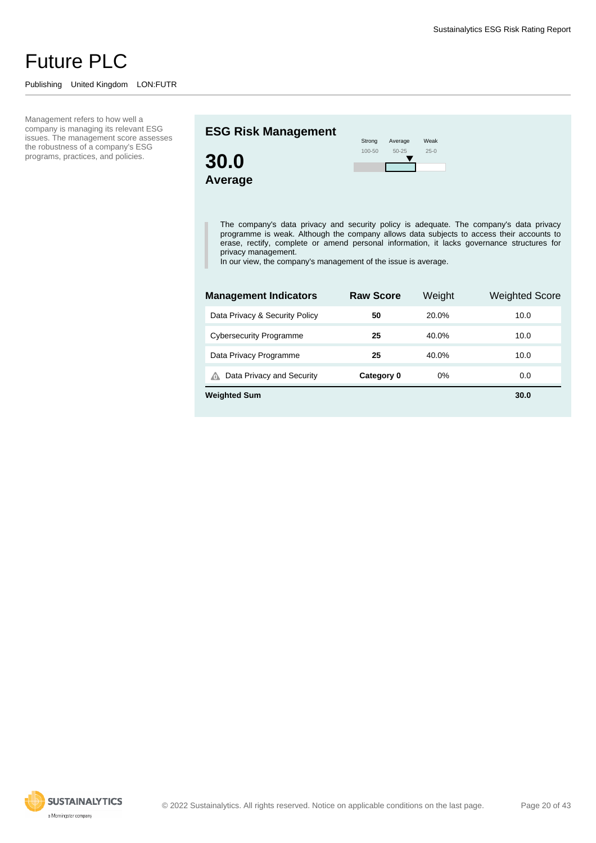#### Publishing United Kingdom LON:FUTR

Management refers to how well a company is managing its relevant ESG issues. The management score assesses the robustness of a company's ESG programs, practices, and policies.

#### **ESG Risk Management**



| Strong     | Average   | Weak   |
|------------|-----------|--------|
| $100 - 50$ | $50 - 25$ | $25-0$ |
|            |           |        |
|            |           |        |

The company's data privacy and security policy is adequate. The company's data privacy programme is weak. Although the company allows data subjects to access their accounts to erase, rectify, complete or amend personal information, it lacks governance structures for privacy management.

In our view, the company's management of the issue is average.

г

| <b>Management Indicators</b>   | <b>Raw Score</b> | Weight | <b>Weighted Score</b> |
|--------------------------------|------------------|--------|-----------------------|
| Data Privacy & Security Policy | 50               | 20.0%  | 10.0                  |
| <b>Cybersecurity Programme</b> | 25               | 40.0%  | 10.0                  |
| Data Privacy Programme         | 25               | 40.0%  | 10.0                  |
| Data Privacy and Security<br>⋒ | Category 0       | 0%     | 0.0                   |
| <b>Weighted Sum</b>            |                  |        | 30.0                  |

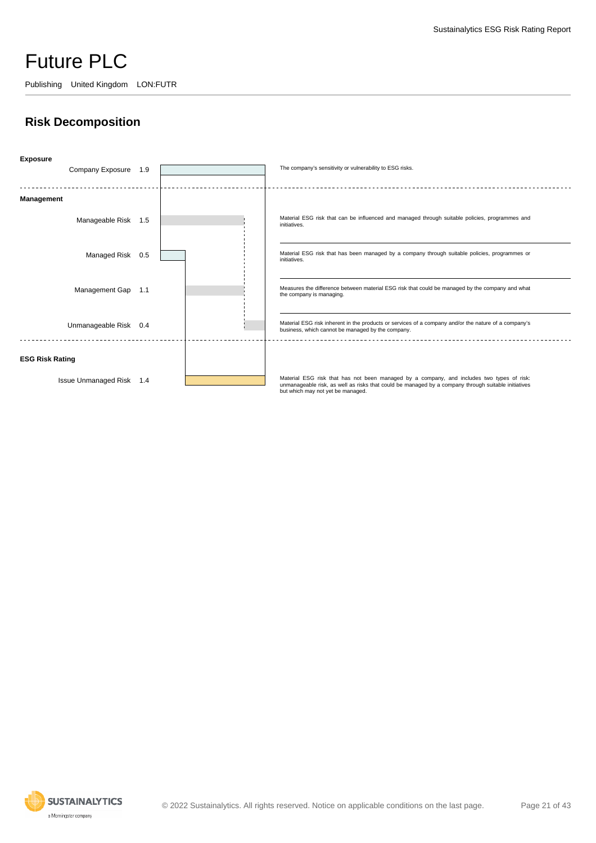Publishing United Kingdom LON:FUTR

### **Risk Decomposition**



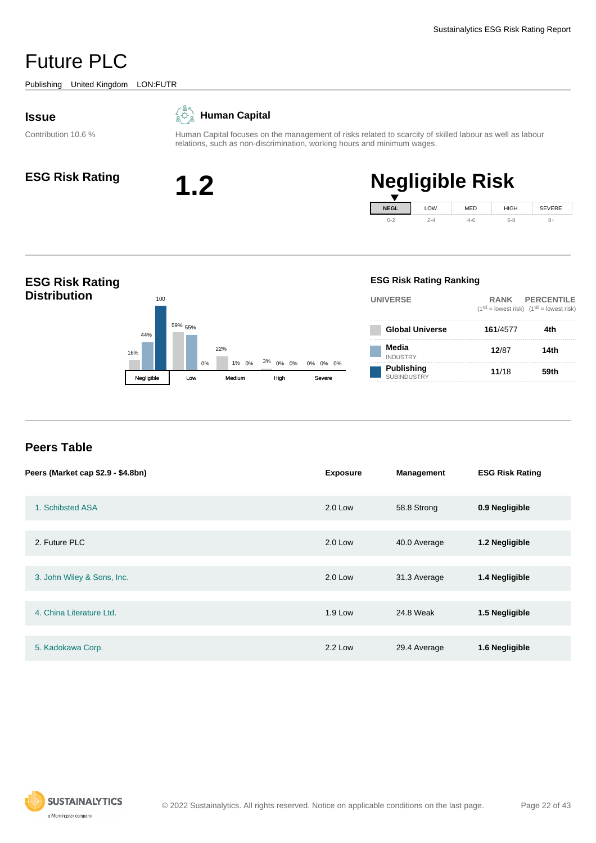<span id="page-21-0"></span>Publishing United Kingdom LON:FUTR

#### **Issue**

Contribution 10.6 %





Human Capital focuses on the management of risks related to scarcity of skilled labour as well as labour relations, such as non-discrimination, working hours and minimum wages.



# **ESG Risk Rating 1.2 Negligible Risk**



#### **ESG Risk Rating Distribution** 16% 59% 22% 3% 0% 1% 0% 0% 44% 55% 100 0% 1% 0% <sup>3%</sup> 0% 0% 0% 0% 0% Negligible Low Medium High **ESG Risk Rating Ranking UNIVERSE RANK PERCENTILE**  $(1^{st} =$  lowest risk)  $(1^{st} =$  lowest risk) **Global Universe 161**/4577 **4th Media** INDUSTRY **12**/87 **14th Publishing** SUBINDUSTRY **11**/18 **59th**

#### **Peers Table**

| Peers (Market cap \$2.9 - \$4.8bn) | <b>Exposure</b> | <b>Management</b> | <b>ESG Risk Rating</b> |
|------------------------------------|-----------------|-------------------|------------------------|
| 1. Schibsted ASA                   | 2.0 Low         | 58.8 Strong       | 0.9 Negligible         |
| 2. Future PLC                      | $2.0$ Low       | 40.0 Average      | 1.2 Negligible         |
| 3. John Wiley & Sons, Inc.         | $2.0$ Low       | 31.3 Average      | 1.4 Negligible         |
| 4. China Literature Ltd.           | <b>1.9 Low</b>  | 24.8 Weak         | 1.5 Negligible         |
| 5. Kadokawa Corp.                  | 2.2 Low         | 29.4 Average      | 1.6 Negligible         |

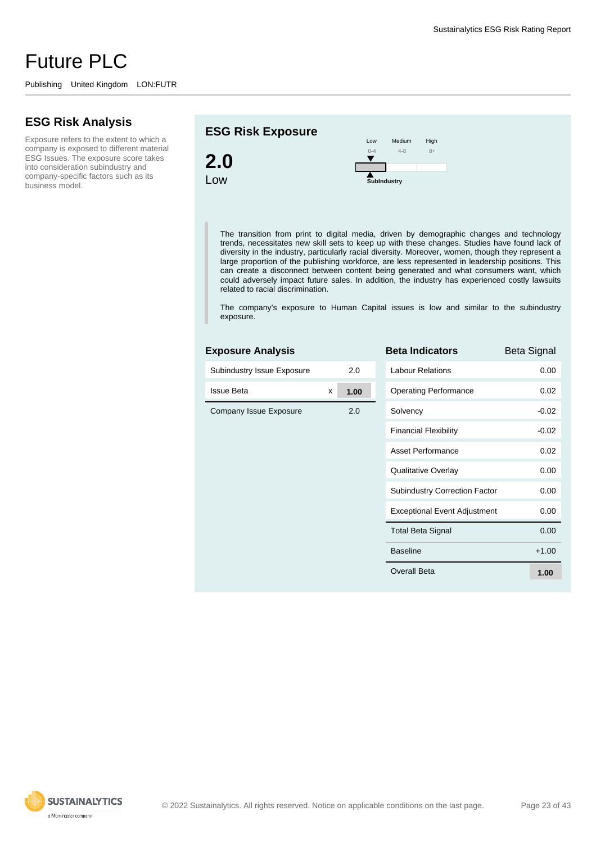#### **ESG Risk Analysis**

Exposure refers to the extent to which a company is exposed to different material ESG Issues. The exposure score takes into consideration subindustry and company-specific factors such as its business model.

#### **ESG Risk Exposure**

**Exposure Analysis**



The transition from print to digital media, driven by demographic changes and technology trends, necessitates new skill sets to keep up with these changes. Studies have found lack of diversity in the industry, particularly racial diversity. Moreover, women, though they represent a large proportion of the publishing workforce, are less represented in leadership positions. This can create a disconnect between content being generated and what consumers want, which could adversely impact future sales. In addition, the industry has experienced costly lawsuits related to racial discrimination.

The company's exposure to Human Capital issues is low and similar to the subindustry exposure.

| EXPOSULE AIIDIYSIS         |   |      | DUI I        |
|----------------------------|---|------|--------------|
| Subindustry Issue Exposure |   | 2.0  | Labou        |
| <b>Issue Beta</b>          | x | 1.00 | Opera        |
| Company Issue Exposure     |   | 2.0  | Solve        |
|                            |   |      | Finan        |
|                            |   |      | Asset        |
|                            |   |      | Qualit       |
|                            |   |      | Subin        |
|                            |   |      | Excep        |
|                            |   |      | Total        |
|                            |   |      | <b>Basel</b> |
|                            |   |      | Overa        |
|                            |   |      |              |

| <b>Beta Indicators</b>               | Beta Signal |
|--------------------------------------|-------------|
| I abour Relations                    | 0.00        |
| <b>Operating Performance</b>         | 0.02        |
| Solvency                             | $-0.02$     |
| <b>Financial Flexibility</b>         | -0.02       |
| Asset Performance                    | 0.02        |
| Qualitative Overlay                  | 0.00        |
| <b>Subindustry Correction Factor</b> | 0.00        |
| <b>Exceptional Event Adjustment</b>  | 0.00        |
| <b>Total Beta Signal</b>             | 0.00        |
| <b>Baseline</b>                      | $+1.00$     |
| Overall Beta                         | 1.00        |

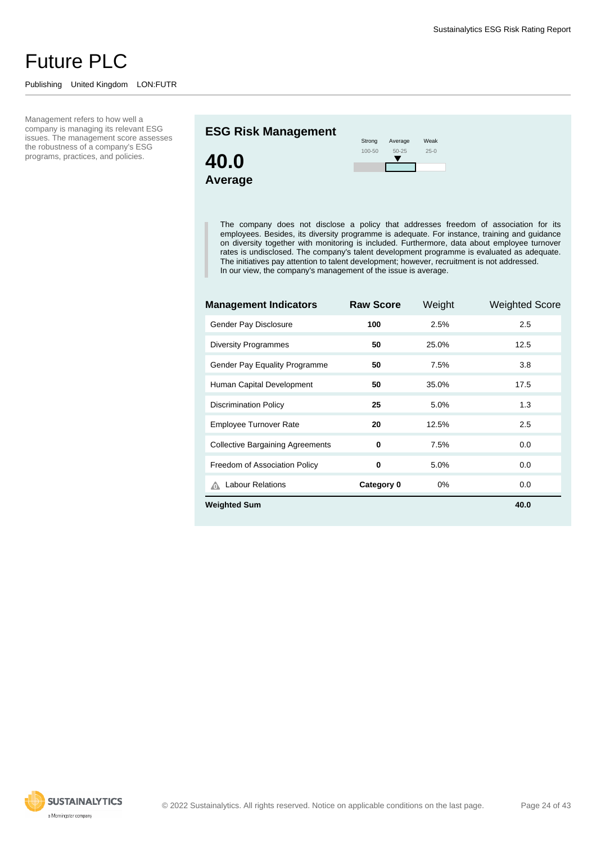#### Publishing United Kingdom LON:FUTR

Management refers to how well a company is managing its relevant ESG issues. The management score assesses the robustness of a company's ESG programs, practices, and policies.

#### **ESG Risk Management**



| Strong | Average   | Weak   |
|--------|-----------|--------|
| 100-50 | $50 - 25$ | $25-0$ |
|        |           |        |

The company does not disclose a policy that addresses freedom of association for its employees. Besides, its diversity programme is adequate. For instance, training and guidance on diversity together with monitoring is included. Furthermore, data about employee turnover rates is undisclosed. The company's talent development programme is evaluated as adequate. The initiatives pay attention to talent development; however, recruitment is not addressed. In our view, the company's management of the issue is average.

г

| <b>Management Indicators</b>            | <b>Raw Score</b> | Weight | <b>Weighted Score</b> |  |
|-----------------------------------------|------------------|--------|-----------------------|--|
| Gender Pay Disclosure                   | 100              | 2.5%   | 2.5                   |  |
| <b>Diversity Programmes</b>             | 50               | 25.0%  | 12.5                  |  |
| Gender Pay Equality Programme           | 50               | 7.5%   | 3.8                   |  |
| Human Capital Development               | 50               | 35.0%  | 17.5                  |  |
| <b>Discrimination Policy</b>            | 25               | 5.0%   | 1.3                   |  |
| <b>Employee Turnover Rate</b>           | 20               | 12.5%  | 2.5                   |  |
| <b>Collective Bargaining Agreements</b> | 0                | 7.5%   | 0.0                   |  |
| Freedom of Association Policy           | 0                | 5.0%   | 0.0                   |  |
| <b>Labour Relations</b>                 | Category 0       | 0%     | 0.0                   |  |
| <b>Weighted Sum</b><br>40.0             |                  |        |                       |  |

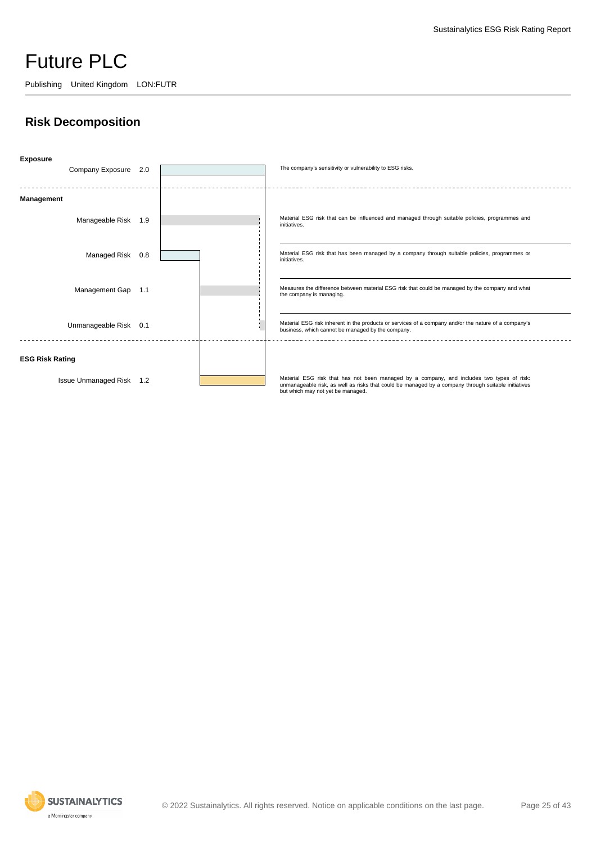Publishing United Kingdom LON:FUTR

### **Risk Decomposition**



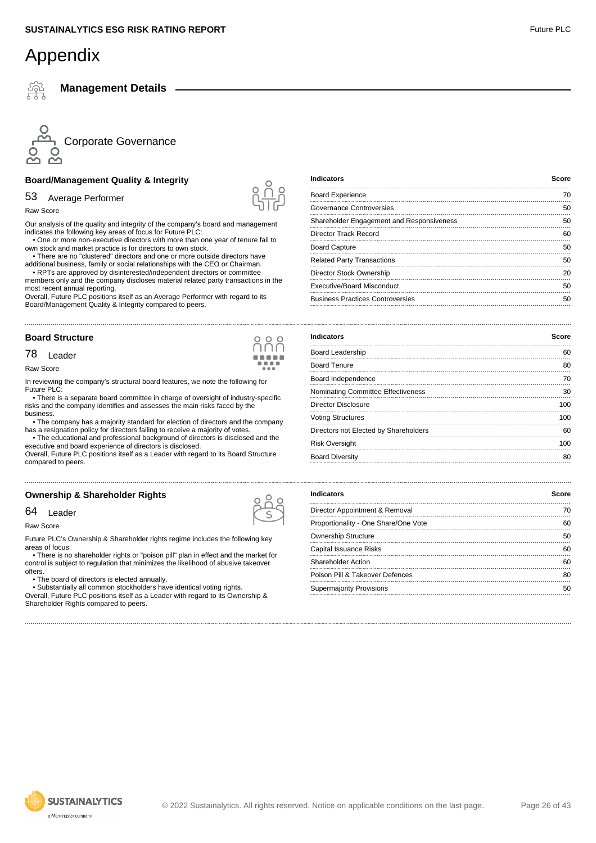**Management Details**



#### **Board/Management Quality & Integrity**

#### 53 Average Performer

Raw Score

Our analysis of the quality and integrity of the company's board and management indicates the following key areas of focus for Future PLC:

 • One or more non-executive directors with more than one year of tenure fail to own stock and market practice is for directors to own stock.

 • There are no "clustered" directors and one or more outside directors have additional business, family or social relationships with the CEO or Chairman. • RPTs are approved by disinterested/independent directors or committee

members only and the company discloses material related party transactions in the most recent annual reporting.

Overall, Future PLC positions itself as an Average Performer with regard to its Board/Management Quality & Integrity compared to peers.

#### **Board Structure**

#### 78 Leader

Raw Score

In reviewing the company's structural board features, we note the following for Future PLC:

 • There is a separate board committee in charge of oversight of industry-specific risks and the company identifies and assesses the main risks faced by the business.

 • The company has a majority standard for election of directors and the company has a resignation policy for directors failing to receive a majority of votes.

 • The educational and professional background of directors is disclosed and the executive and board experience of directors is disclosed. Overall, Future PLC positions itself as a Leader with regard to its Board Structure

#### **Ownership & Shareholder Rights**

#### 64 Leader

compared to peers.

Raw Score

Future PLC's Ownership & Shareholder rights regime includes the following key areas of focus:

 • There is no shareholder rights or "poison pill" plan in effect and the market for control is subject to regulation that minimizes the likelihood of abusive takeover offers.

• The board of directors is elected annually.

 • Substantially all common stockholders have identical voting rights. Overall, Future PLC positions itself as a Leader with regard to its Ownership & Shareholder Rights compared to peers.

| <b>Indicators</b>                         | Score |
|-------------------------------------------|-------|
| <b>Board Experience</b>                   | 70    |
| Governance Controversies                  | 50    |
| Shareholder Engagement and Responsiveness | 50    |
| Director Track Record                     | 60    |
| <b>Board Capture</b>                      | 50    |
| <b>Related Party Transactions</b>         | 50    |
| Director Stock Ownership                  | 20    |
| Executive/Board Misconduct                | 50    |
| <b>Business Practices Controversies</b>   | 50    |

| <b>Indicators</b>                     | Score |
|---------------------------------------|-------|
| Board Leadership                      | 60    |
| <b>Board Tenure</b>                   | 80    |
| Board Independence                    | 70    |
| Nominating Committee Effectiveness    | 30    |
| Director Disclosure                   | 100   |
| <b>Voting Structures</b>              | 100   |
| Directors not Elected by Shareholders | 60    |
| <b>Risk Oversight</b>                 | 100   |
| <b>Board Diversity</b>                | 80    |
|                                       |       |

| <b>Indicators</b>                    | Score |
|--------------------------------------|-------|
| Director Appointment & Removal       | 70    |
| Proportionality - One Share/One Vote | 60    |
| <b>Ownership Structure</b>           | 50    |
| Capital Issuance Risks               | 60    |
| Shareholder Action                   | 60    |
| Poison Pill & Takeover Defences      | 80    |
| <b>Supermajority Provisions</b>      | 50    |





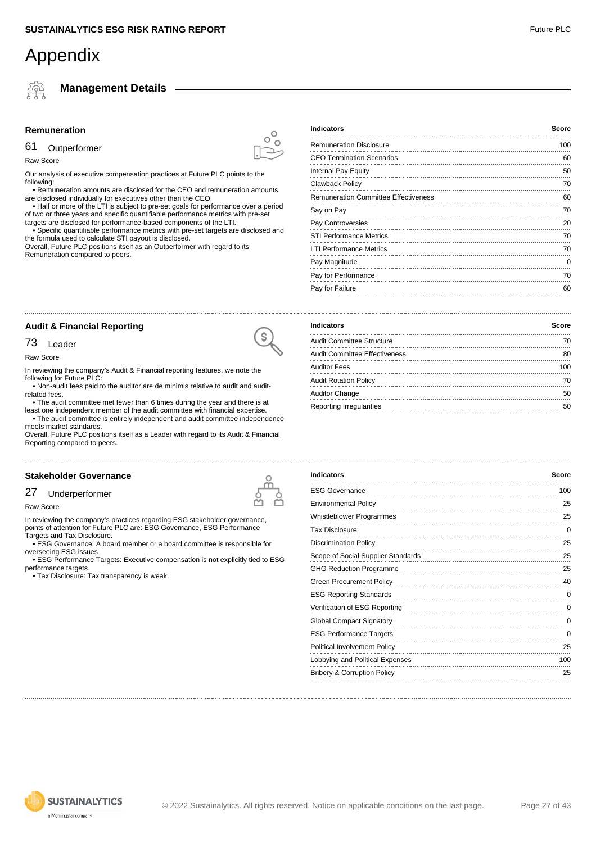**Management Details**

#### **Remuneration**

#### 61 Outperformer

Raw Score

Our analysis of executive compensation practices at Future PLC points to the following:

 • Remuneration amounts are disclosed for the CEO and remuneration amounts are disclosed individually for executives other than the CEO.

 • Half or more of the LTI is subject to pre-set goals for performance over a period of two or three years and specific quantifiable performance metrics with pre-set

targets are disclosed for performance-based components of the LTI. • Specific quantifiable performance metrics with pre-set targets are disclosed and

the formula used to calculate STI payout is disclosed. Overall, Future PLC positions itself as an Outperformer with regard to its Remuneration compared to peers.

| <b>Indicators</b>                           | Score |
|---------------------------------------------|-------|
| <b>Remuneration Disclosure</b>              | 100   |
| <b>CEO Termination Scenarios</b>            | 60    |
| Internal Pay Equity                         | 50    |
| Clawback Policy                             | 70    |
| <b>Remuneration Committee Effectiveness</b> | 60    |
| Say on Pay                                  | 70    |
| Pay Controversies                           | 20    |
| <b>STI Performance Metrics</b>              | 70    |
| <b>LTI Performance Metrics</b>              | 70    |
| Pay Magnitude                               | 0     |
| Pay for Performance                         | 70    |
| Pay for Failure                             | 60    |

#### **Audit & Financial Reporting**

#### 73 Leader

Raw Score

In reviewing the company's Audit & Financial reporting features, we note the following for Future PLC:

 • Non-audit fees paid to the auditor are de minimis relative to audit and auditrelated fees.

 • The audit committee met fewer than 6 times during the year and there is at least one independent member of the audit committee with financial expertise.

 • The audit committee is entirely independent and audit committee independence meets market standards.

Overall, Future PLC positions itself as a Leader with regard to its Audit & Financial Reporting compared to peers.

#### **Stakeholder Governance**

#### 27 Underperformer

Raw Score

In reviewing the company's practices regarding ESG stakeholder governance, points of attention for Future PLC are: ESG Governance, ESG Performance Targets and Tax Disclosure.

 • ESG Governance: A board member or a board committee is responsible for overseeing ESG issues

 • ESG Performance Targets: Executive compensation is not explicitly tied to ESG performance targets

• Tax Disclosure: Tax transparency is weak

| <b>Indicators</b>                    | Score |
|--------------------------------------|-------|
| <b>Audit Committee Structure</b>     | 70    |
| <b>Audit Committee Effectiveness</b> | 80    |
| <b>Auditor Fees</b>                  | 100   |
| <b>Audit Rotation Policy</b>         | 70    |
| <b>Auditor Change</b>                | 50    |
| Reporting Irregularities             | 50    |
|                                      |       |

| <b>Indicators</b>                      | Score |
|----------------------------------------|-------|
| <b>ESG Governance</b>                  | 100   |
| <b>Environmental Policy</b>            | 25    |
| <b>Whistleblower Programmes</b>        | 25    |
| <b>Tax Disclosure</b>                  | 0     |
| <b>Discrimination Policy</b>           | 25    |
| Scope of Social Supplier Standards     | 25    |
| <b>GHG Reduction Programme</b>         | 25    |
| <b>Green Procurement Policy</b>        | 40    |
| <b>ESG Reporting Standards</b>         | 0     |
| Verification of ESG Reporting          | 0     |
| <b>Global Compact Signatory</b>        | 0     |
| <b>ESG Performance Targets</b>         | 0     |
| Political Involvement Policy           | 25    |
| Lobbying and Political Expenses        | 100   |
| <b>Bribery &amp; Corruption Policy</b> | 25    |





 $\sqrt{2}$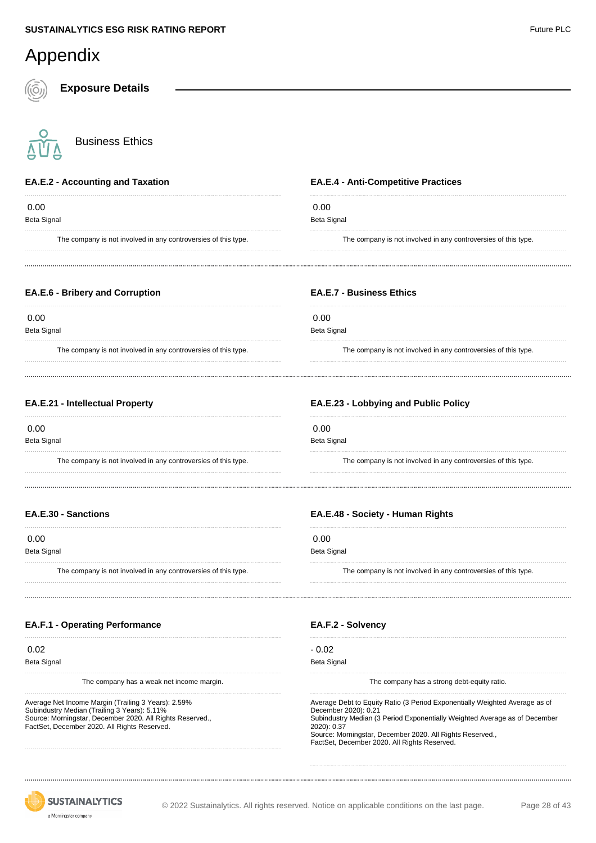| Appendix                                                                             |                                                                                      |
|--------------------------------------------------------------------------------------|--------------------------------------------------------------------------------------|
| <b>Exposure Details</b>                                                              |                                                                                      |
| <b>Business Ethics</b>                                                               |                                                                                      |
| <b>EA.E.2 - Accounting and Taxation</b>                                              | <b>EA.E.4 - Anti-Competitive Practices</b>                                           |
| 0.00<br><b>Beta Signal</b>                                                           | 0.00<br>Beta Signal                                                                  |
| The company is not involved in any controversies of this type.                       | The company is not involved in any controversies of this type.                       |
| <b>EA.E.6 - Bribery and Corruption</b>                                               | <b>EA.E.7 - Business Ethics</b>                                                      |
| 0.00                                                                                 | 0.00<br>Beta Signal                                                                  |
| Beta Signal<br>The company is not involved in any controversies of this type.        | The company is not involved in any controversies of this type.                       |
| <b>EA.E.21 - Intellectual Property</b>                                               | EA.E.23 - Lobbying and Public Policy                                                 |
| 0.00                                                                                 | 0.00                                                                                 |
| <b>Beta Signal</b><br>The company is not involved in any controversies of this type. | Beta Signal<br>The company is not involved in any controversies of this type.        |
| <b>EA.E.30 - Sanctions</b>                                                           | EA.E.48 - Society - Human Rights                                                     |
| 0.00                                                                                 | 0.00                                                                                 |
| <b>Beta Signal</b><br>The company is not involved in any controversies of this type. | <b>Beta Signal</b><br>The company is not involved in any controversies of this type. |
|                                                                                      |                                                                                      |
| <b>EA.F.1 - Operating Performance</b>                                                | EA.F.2 - Solvency                                                                    |
| 0.02                                                                                 | $-0.02$                                                                              |
| <b>Beta Signal</b><br>The company has a weak net income margin.                      | <b>Beta Signal</b><br>The company has a strong debt-equity ratio.                    |
| Average Net Income Margin (Trailing 3 Years): 2.59%                                  | Average Debt to Equity Ratio (3 Period Exponentially Weighted Average as of          |

Average Net Income Margin (Trailing 3 Years): 2.59% Subindustry Median (Trailing 3 Years): 5.11% Source: Morningstar, December 2020. All Rights Reserved., FactSet, December 2020. All Rights Reserved.

Average Debt to Equity Ratio (3 Period Exponentially Weighted Average as of December 2020): 0.21 Subindustry Median (3 Period Exponentially Weighted Average as of December 2020): 0.37 Source: Morningstar, December 2020. All Rights Reserved., FactSet, December 2020. All Rights Reserved.

**SUSTAINALYTICS** a Morningstar company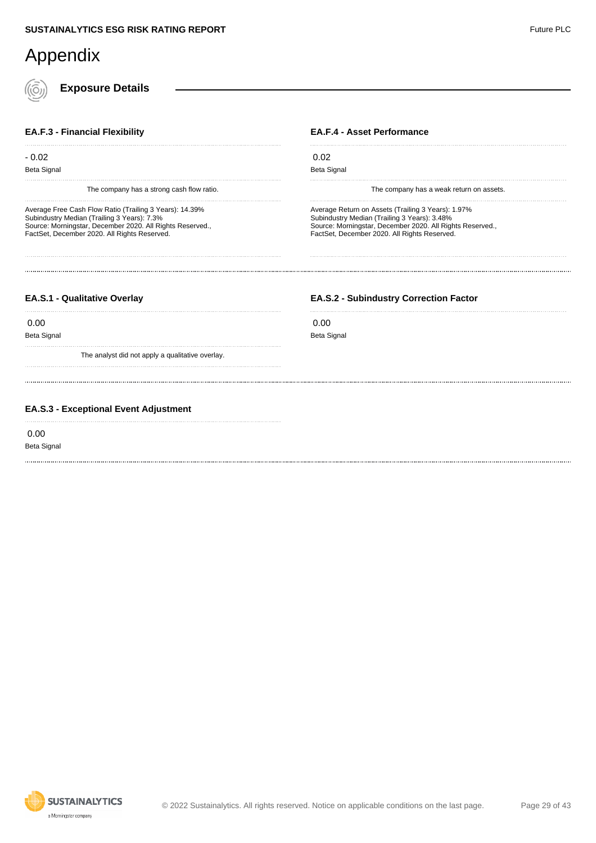**Exposure Details**

#### **EA.F.3 - Financial Flexibility**

- 0.02 Beta Signal

The company has a strong cash flow ratio.

Average Free Cash Flow Ratio (Trailing 3 Years): 14.39% Subindustry Median (Trailing 3 Years): 7.3% Source: Morningstar, December 2020. All Rights Reserved., FactSet, December 2020. All Rights Reserved.

#### **EA.F.4 - Asset Performance**

 0.02 Beta Signal

The company has a weak return on assets.

Average Return on Assets (Trailing 3 Years): 1.97% Subindustry Median (Trailing 3 Years): 3.48% Source: Morningstar, December 2020. All Rights Reserved., FactSet, December 2020. All Rights Reserved.

#### **EA.S.1 - Qualitative Overlay**

0.00

Beta Signal

The analyst did not apply a qualitative overlay.

#### **EA.S.2 - Subindustry Correction Factor**

 0.00 Beta Signal

#### **EA.S.3 - Exceptional Event Adjustment**

0.00

Beta Signal

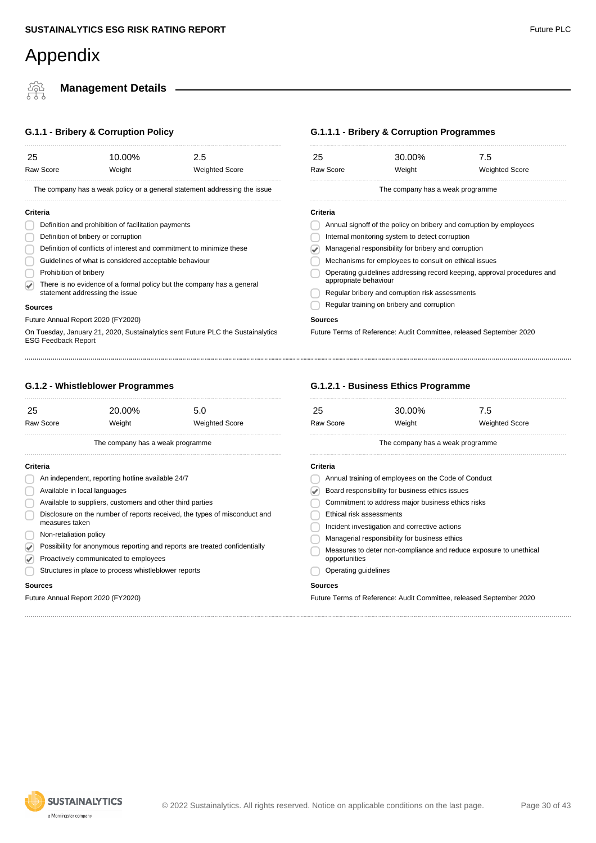#### **Management Details**

#### **G.1.1 - Bribery & Corruption Policy**

| 25<br><b>Raw Score</b>                                                                                        | 10.00%<br>Weight                                    | 2.5<br><b>Weighted Score</b>                                          | 25<br>Raw Score                                                     | 30.00%<br>Weight                                                    | 7.5<br><b>Weighted Score</b> |
|---------------------------------------------------------------------------------------------------------------|-----------------------------------------------------|-----------------------------------------------------------------------|---------------------------------------------------------------------|---------------------------------------------------------------------|------------------------------|
| The company has a weak policy or a general statement addressing the issue                                     |                                                     |                                                                       | The company has a weak programme                                    |                                                                     |                              |
| Criteria                                                                                                      |                                                     |                                                                       | Criteria                                                            |                                                                     |                              |
|                                                                                                               | Definition and prohibition of facilitation payments |                                                                       | Annual signoff of the policy on bribery and corruption by employees |                                                                     |                              |
| Definition of bribery or corruption                                                                           |                                                     | Internal monitoring system to detect corruption                       |                                                                     |                                                                     |                              |
| Definition of conflicts of interest and commitment to minimize these                                          |                                                     | Managerial responsibility for bribery and corruption                  |                                                                     |                                                                     |                              |
| Guidelines of what is considered acceptable behaviour                                                         |                                                     | Mechanisms for employees to consult on ethical issues                 |                                                                     |                                                                     |                              |
| Prohibition of bribery                                                                                        |                                                     | Operating guidelines addressing record keeping, approval procedur     |                                                                     |                                                                     |                              |
|                                                                                                               |                                                     | There is no evidence of a formal policy but the company has a general | appropriate behaviour                                               |                                                                     |                              |
|                                                                                                               | statement addressing the issue                      |                                                                       |                                                                     | Regular bribery and corruption risk assessments                     |                              |
| <b>Sources</b>                                                                                                |                                                     |                                                                       |                                                                     | Regular training on bribery and corruption                          |                              |
| Future Annual Report 2020 (FY2020)                                                                            |                                                     |                                                                       | <b>Sources</b>                                                      |                                                                     |                              |
| On Tuesday, January 21, 2020, Sustainalytics sent Future PLC the Sustainalytics<br><b>ESG Feedback Report</b> |                                                     |                                                                       |                                                                     | Future Terms of Reference: Audit Committee, released September 2020 |                              |
|                                                                                                               |                                                     |                                                                       |                                                                     |                                                                     |                              |

#### **G.1.2.1 - Business Ethics Programme**

| 25                                              | 30.00%                                              | 7.5                                                               |  |
|-------------------------------------------------|-----------------------------------------------------|-------------------------------------------------------------------|--|
| Raw Score                                       | Weight                                              | <b>Weighted Score</b>                                             |  |
|                                                 | The company has a weak programme                    |                                                                   |  |
| Criteria                                        |                                                     |                                                                   |  |
|                                                 | Annual training of employees on the Code of Conduct |                                                                   |  |
| Board responsibility for business ethics issues |                                                     |                                                                   |  |
|                                                 | Commitment to address major business ethics risks   |                                                                   |  |
| Ethical risk assessments                        |                                                     |                                                                   |  |
|                                                 | Incident investigation and corrective actions       |                                                                   |  |
|                                                 | Managerial responsibility for business ethics       |                                                                   |  |
| opportunities                                   |                                                     | Measures to deter non-compliance and reduce exposure to unethical |  |
| Operating guidelines                            |                                                     |                                                                   |  |
| Sources                                         |                                                     |                                                                   |  |

#### **G.1.2 - Whistleblower Programmes**

| 25                     | 20.00%                                                    | 5.0                                                                        | 25    |
|------------------------|-----------------------------------------------------------|----------------------------------------------------------------------------|-------|
| <b>Raw Score</b>       | Weight                                                    | <b>Weighted Score</b>                                                      | Raw   |
|                        | The company has a weak programme                          |                                                                            |       |
| Criteria               |                                                           |                                                                            | Crite |
|                        | An independent, reporting hotline available 24/7          |                                                                            |       |
|                        | Available in local languages                              |                                                                            |       |
|                        | Available to suppliers, customers and other third parties |                                                                            |       |
| measures taken         |                                                           | Disclosure on the number of reports received, the types of misconduct and  |       |
| Non-retaliation policy |                                                           |                                                                            |       |
|                        |                                                           | Possibility for anonymous reporting and reports are treated confidentially |       |
|                        | Proactively communicated to employees                     |                                                                            |       |
|                        | Structures in place to process whistleblower reports      |                                                                            |       |
| <b>Sources</b>         |                                                           |                                                                            | Sou   |
|                        | Future Annual Report 2020 (FY2020)                        |                                                                            | Futu  |

#### **G.1.1.1 - Bribery & Corruption Programmes**

Operating guidelines addressing record keeping, approval procedures and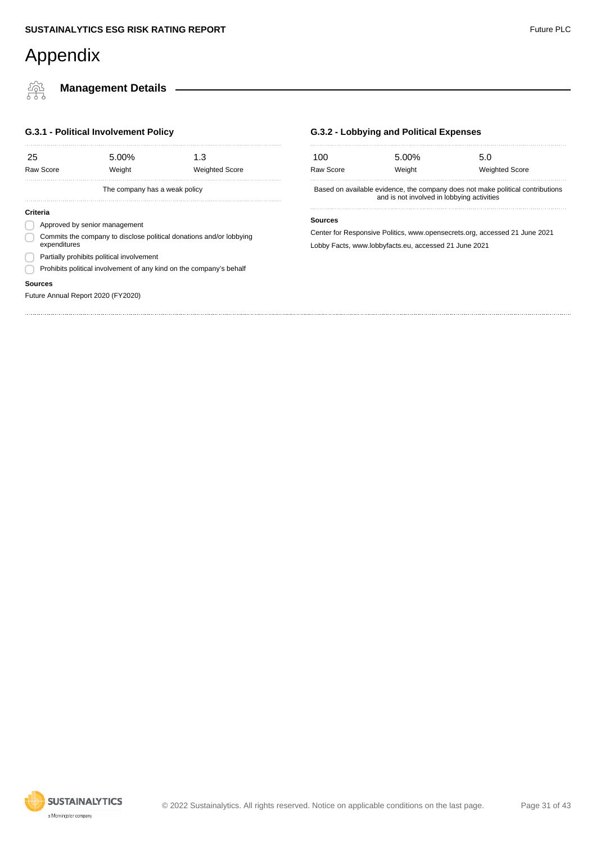橤

### **Management Details**

#### **G.3.1 - Political Involvement Policy**

| 25       | Raw Score                                                                           | 5.00%<br>Weight               | 1.3<br><b>Weighted Score</b> |  |
|----------|-------------------------------------------------------------------------------------|-------------------------------|------------------------------|--|
|          |                                                                                     | The company has a weak policy |                              |  |
| Criteria |                                                                                     |                               |                              |  |
|          | Approved by senior management                                                       |                               |                              |  |
|          | Commits the company to disclose political donations and/or lobbying<br>expenditures |                               |                              |  |
|          | Partially prohibits political involvement                                           |                               |                              |  |
|          | Prohibits political involvement of any kind on the company's behalf                 |                               |                              |  |

#### **Sources**

Future Annual Report 2020 (FY2020)

#### **G.3.2 - Lobbying and Political Expenses**

| 100<br>Raw Score                                                                                                             | 5.00%<br>Weight | 5.0<br><b>Weighted Score</b>                                               |  |  |  |
|------------------------------------------------------------------------------------------------------------------------------|-----------------|----------------------------------------------------------------------------|--|--|--|
| Based on available evidence, the company does not make political contributions<br>and is not involved in lobbying activities |                 |                                                                            |  |  |  |
| <b>Sources</b>                                                                                                               |                 | Center for Responsive Politics, www.opensecrets.org, accessed 21 June 2021 |  |  |  |

Lobby Facts, www.lobbyfacts.eu, accessed 21 June 2021

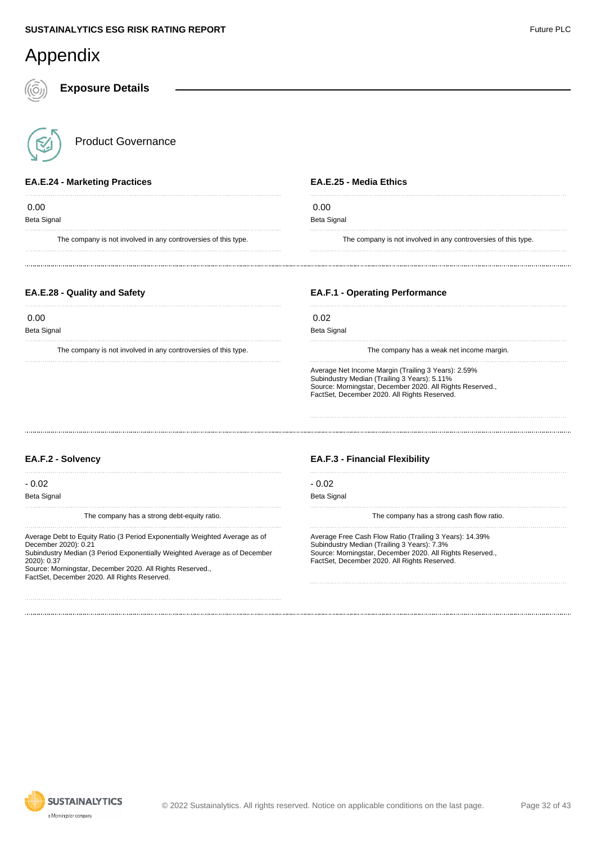**Exposure Details**

Product Governance

#### **EA.E.24 - Marketing Practices**

 0.00 Beta Signal

The company is not involved in any controversies of this type.

#### **EA.E.25 - Media Ethics**

 $0.00$ 

Beta Signal

The company is not involved in any controversies of this type.

#### **EA.E.28 - Quality and Safety**

 0.00 Beta Signal

The company is not involved in any controversies of this type.

#### **EA.F.1 - Operating Performance**

 0.02 Beta Signal

The company has a weak net income margin.

Average Net Income Margin (Trailing 3 Years): 2.59% Subindustry Median (Trailing 3 Years): 5.11% Source: Morningstar, December 2020. All Rights Reserved., FactSet, December 2020. All Rights Reserved.

#### **EA.F.2 - Solvency**

- 0.02

Beta Signal

The company has a strong debt-equity ratio.

Average Debt to Equity Ratio (3 Period Exponentially Weighted Average as of December 2020): 0.21

Subindustry Median (3 Period Exponentially Weighted Average as of December 2020): 0.37

Source: Morningstar, December 2020. All Rights Reserved., FactSet, December 2020. All Rights Reserved.

#### **EA.F.3 - Financial Flexibility**

- 0.02

Beta Signal

The company has a strong cash flow ratio.

Average Free Cash Flow Ratio (Trailing 3 Years): 14.39% Subindustry Median (Trailing 3 Years): 7.3% Source: Morningstar, December 2020. All Rights Reserved., FactSet, December 2020. All Rights Reserved.

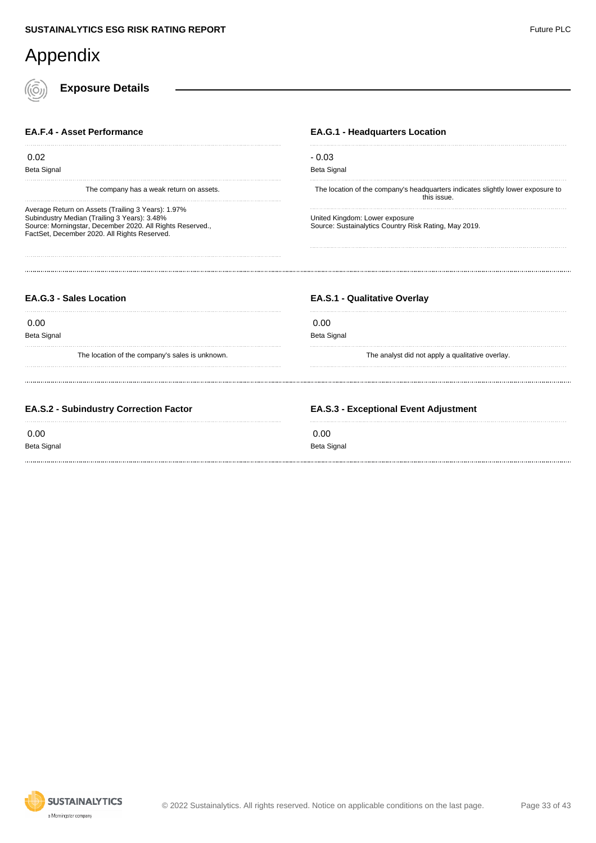| Appendix                                                                                                                                                                                                        |                                                                                                |
|-----------------------------------------------------------------------------------------------------------------------------------------------------------------------------------------------------------------|------------------------------------------------------------------------------------------------|
| <b>Exposure Details</b>                                                                                                                                                                                         |                                                                                                |
| <b>EA.F.4 - Asset Performance</b>                                                                                                                                                                               | <b>EA.G.1 - Headquarters Location</b>                                                          |
| 0.02<br>Beta Signal                                                                                                                                                                                             | $-0.03$<br>Beta Signal                                                                         |
| The company has a weak return on assets.                                                                                                                                                                        | The location of the company's headquarters indicates slightly lower exposure to<br>this issue. |
| Average Return on Assets (Trailing 3 Years): 1.97%<br>Subindustry Median (Trailing 3 Years): 3.48%<br>Source: Morningstar, December 2020. All Rights Reserved.,<br>FactSet, December 2020. All Rights Reserved. | United Kingdom: Lower exposure<br>Source: Sustainalytics Country Risk Rating, May 2019.        |
| <b>EA.G.3 - Sales Location</b>                                                                                                                                                                                  | <b>EA.S.1 - Qualitative Overlay</b>                                                            |
| 0.00                                                                                                                                                                                                            | 0.00                                                                                           |
| <b>Beta Signal</b><br>The location of the company's sales is unknown.                                                                                                                                           | <b>Beta Signal</b><br>The analyst did not apply a qualitative overlay.                         |
| EA.S.2 - Subindustry Correction Factor                                                                                                                                                                          | <b>EA.S.3 - Exceptional Event Adjustment</b>                                                   |
| 0.00<br>Beta Signal                                                                                                                                                                                             | 0.00<br><b>Beta Signal</b>                                                                     |

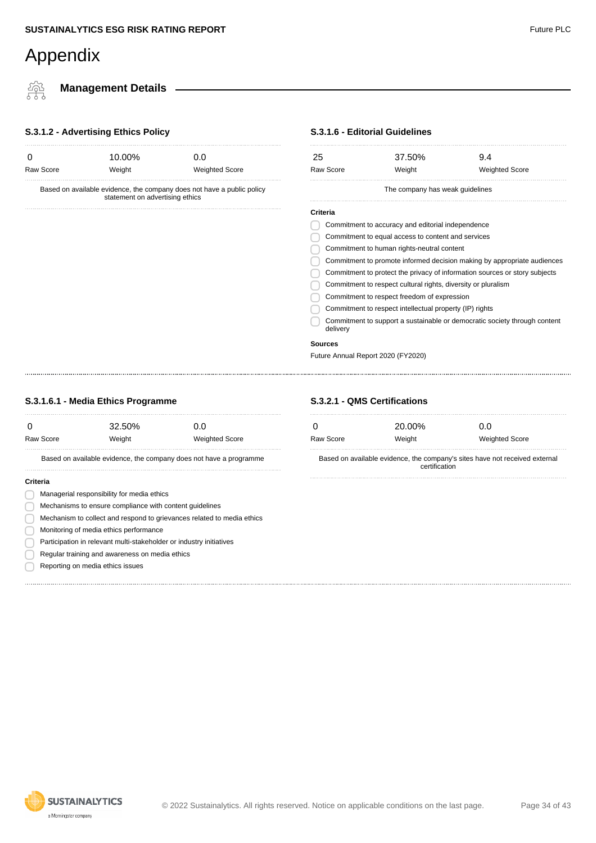쬬

**Management Details**

#### **S.3.1.2 - Advertising Ethics Policy**

| Raw Score<br>Weight<br><b>Weighted Score</b>                                                              |  |  |  |  |
|-----------------------------------------------------------------------------------------------------------|--|--|--|--|
|                                                                                                           |  |  |  |  |
| Based on available evidence, the company does not have a public policy<br>statement on advertising ethics |  |  |  |  |

#### **S.3.1.6 - Editorial Guidelines**

| 25       |                                                               | 37.50%                          |  | 9.4                                                                        |
|----------|---------------------------------------------------------------|---------------------------------|--|----------------------------------------------------------------------------|
|          | Raw Score                                                     | Weight                          |  | <b>Weighted Score</b>                                                      |
|          |                                                               | The company has weak guidelines |  |                                                                            |
| Criteria |                                                               |                                 |  |                                                                            |
|          | Commitment to accuracy and editorial independence             |                                 |  |                                                                            |
|          | Commitment to equal access to content and services            |                                 |  |                                                                            |
|          | Commitment to human rights-neutral content                    |                                 |  |                                                                            |
|          |                                                               |                                 |  | Commitment to promote informed decision making by appropriate audiences    |
|          |                                                               |                                 |  | Commitment to protect the privacy of information sources or story subjects |
|          | Commitment to respect cultural rights, diversity or pluralism |                                 |  |                                                                            |
|          | Commitment to respect freedom of expression                   |                                 |  |                                                                            |
|          | Commitment to respect intellectual property (IP) rights       |                                 |  |                                                                            |
|          | delivery                                                      |                                 |  | Commitment to support a sustainable or democratic society through content  |
|          | <b>Sources</b>                                                |                                 |  |                                                                            |
|          | Future Annual Report 2020 (FY2020)                            |                                 |  |                                                                            |

#### **S.3.1.6.1 - Media Ethics Programme**

|          | Raw Score                                                              | 32.50%<br>Weight                                                    | 0.0<br><b>Weighted Score</b> |  |
|----------|------------------------------------------------------------------------|---------------------------------------------------------------------|------------------------------|--|
|          |                                                                        | Based on available evidence, the company does not have a programme  |                              |  |
| Criteria |                                                                        |                                                                     |                              |  |
|          | Managerial responsibility for media ethics                             |                                                                     |                              |  |
|          | Mechanisms to ensure compliance with content quidelines                |                                                                     |                              |  |
|          | Mechanism to collect and respond to grievances related to media ethics |                                                                     |                              |  |
|          | Monitoring of media ethics performance                                 |                                                                     |                              |  |
|          |                                                                        | Participation in relevant multi-stakeholder or industry initiatives |                              |  |

Regular training and awareness on media ethics Reporting on media ethics issues

#### **S.3.2.1 - QMS Certifications**

|           | 20.00% | 0.0                   |
|-----------|--------|-----------------------|
| Raw Score | Weight | <b>Weighted Score</b> |

Based on available evidence, the company's sites have not received external certification



#### **SUSTAINALYTICS** a Morningstar company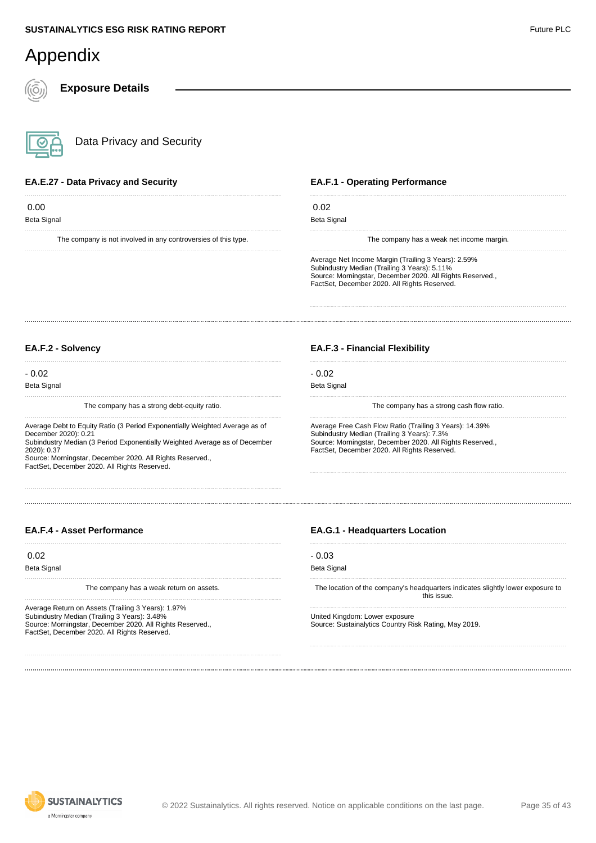**Exposure Details**

Data Privacy and Security

#### **EA.E.27 - Data Privacy and Security**

 0.00 Beta Signal

The company is not involved in any controversies of this type.

#### **EA.F.1 - Operating Performance**

| 0.02               |                                                                                                                                                                                                                                |
|--------------------|--------------------------------------------------------------------------------------------------------------------------------------------------------------------------------------------------------------------------------|
| <b>Beta Signal</b> |                                                                                                                                                                                                                                |
|                    |                                                                                                                                                                                                                                |
|                    | The communication of the contract of the contract of the contract of the contract of the contract of the contract of the contract of the contract of the contract of the contract of the contract of the contract of the contr |

The company has a weak net income margin.

Average Net Income Margin (Trailing 3 Years): 2.59% Subindustry Median (Trailing 3 Years): 5.11% Source: Morningstar, December 2020. All Rights Reserved., FactSet, December 2020. All Rights Reserved.

#### **EA.F.2 - Solvency**

- 0.02 Beta Signal

The company has a strong debt-equity ratio.

Average Debt to Equity Ratio (3 Period Exponentially Weighted Average as of December 2020): 0.21

Subindustry Median (3 Period Exponentially Weighted Average as of December 2020): 0.37

Source: Morningstar, December 2020. All Rights Reserved. FactSet, December 2020. All Rights Reserved.

#### **EA.F.3 - Financial Flexibility**

- 0.02 Beta Signal

The company has a strong cash flow ratio.

Average Free Cash Flow Ratio (Trailing 3 Years): 14.39% Subindustry Median (Trailing 3 Years): 7.3% Source: Morningstar, December 2020. All Rights Reserved., FactSet, December 2020. All Rights Reserved.

#### **EA.F.4 - Asset Performance**

0.02

Beta Signal

The company has a weak return on assets.

Average Return on Assets (Trailing 3 Years): 1.97% Subindustry Median (Trailing 3 Years): 3.48% Source: Morningstar, December 2020. All Rights Reserved., FactSet, December 2020. All Rights Reserved.

#### **EA.G.1 - Headquarters Location**

- 0.03

```
Beta Signal
```
The location of the company's headquarters indicates slightly lower exposure to this issue.

United Kingdom: Lower exposure Source: Sustainalytics Country Risk Rating, May 2019.

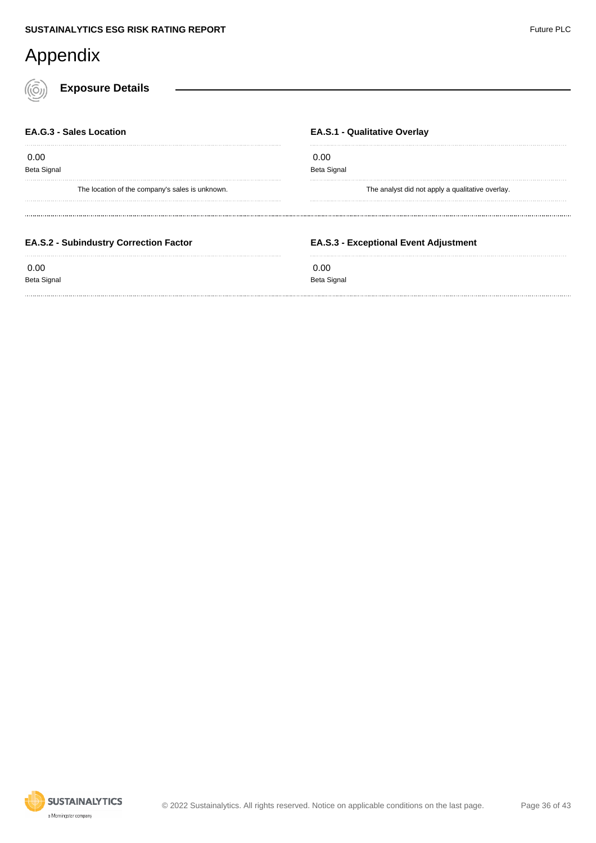**Exposure Details**

| <b>EA.G.3 - Sales Location</b>                  | <b>EA.S.1 - Qualitative Overlay</b>              |
|-------------------------------------------------|--------------------------------------------------|
| 0.00<br><b>Beta Signal</b>                      | 0.00<br><b>Beta Signal</b>                       |
| The location of the company's sales is unknown. | The analyst did not apply a qualitative overlay. |
| <b>EA.S.2 - Subindustry Correction Factor</b>   | <b>EA.S.3 - Exceptional Event Adjustment</b>     |
|                                                 |                                                  |

Beta Signal

#### 0.00 Beta Signal

**SUSTAINALYTICS** a Morningstar company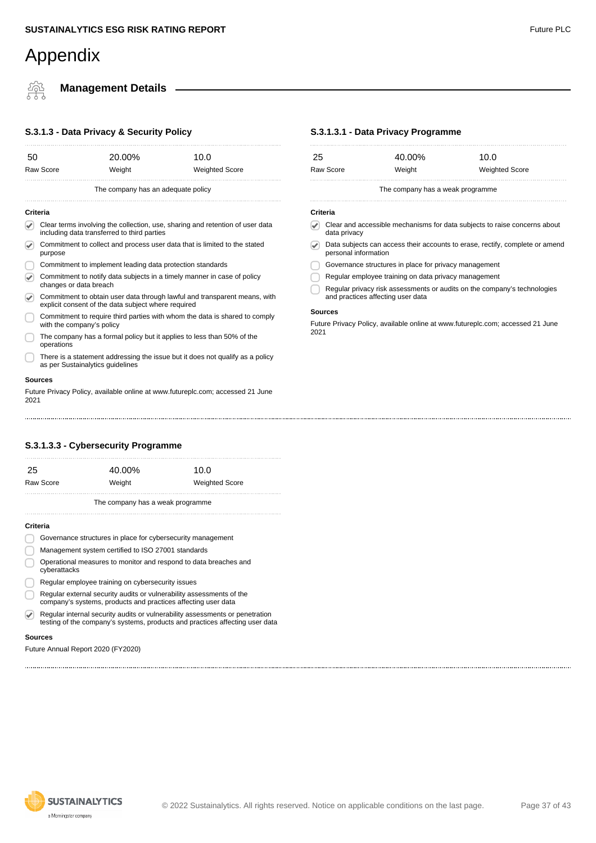### **Management Details**

#### **S.3.1.3 - Data Privacy & Security Policy**

| 50                    |                                                                                                                                  | 20.00% | 10.0                               |  |         |
|-----------------------|----------------------------------------------------------------------------------------------------------------------------------|--------|------------------------------------|--|---------|
|                       | Raw Score                                                                                                                        | Weight | <b>Weighted Score</b>              |  | R       |
|                       |                                                                                                                                  |        | The company has an adequate policy |  |         |
| Criteria              |                                                                                                                                  |        |                                    |  | c       |
| $\blacktriangleright$ | Clear terms involving the collection, use, sharing and retention of user data<br>including data transferred to third parties     |        |                                    |  |         |
| $\blacktriangleright$ | Commitment to collect and process user data that is limited to the stated<br>purpose                                             |        |                                    |  |         |
|                       | Commitment to implement leading data protection standards                                                                        |        |                                    |  |         |
| $\blacktriangledown$  | Commitment to notify data subjects in a timely manner in case of policy<br>changes or data breach                                |        |                                    |  |         |
| $\blacktriangleright$ | Commitment to obtain user data through lawful and transparent means, with<br>explicit consent of the data subject where required |        |                                    |  |         |
|                       | Commitment to require third parties with whom the data is shared to comply<br>with the company's policy                          |        |                                    |  | S<br>F١ |
|                       | The company has a formal policy but it applies to less than 50% of the<br>operations                                             |        |                                    |  | 2(      |
|                       | There is a statement addressing the issue but it does not qualify as a policy<br>as per Sustainalytics guidelines                |        |                                    |  |         |
|                       | Sources                                                                                                                          |        |                                    |  |         |
| 2021                  | Future Privacy Policy, available online at www.futureplc.com; accessed 21 June                                                   |        |                                    |  |         |
|                       |                                                                                                                                  |        |                                    |  |         |

#### **S.3.1.3.1 - Data Privacy Programme**

| Raw Score | Weight | <b>Weighted Score</b> |  |
|-----------|--------|-----------------------|--|
| -25       | 40.00% | 10.0                  |  |
|           |        |                       |  |

#### **Criteria**

- Clear and accessible mechanisms for data subjects to raise concerns about data privacy
- Data subjects can access their accounts to erase, rectify, complete or amend personal information
- Governance structures in place for privacy management
- Regular employee training on data privacy management
- J Regular privacy risk assessments or audits on the company's technologies and practices affecting user data

#### **Sources**

uture Privacy Policy, available online at www.futureplc.com; accessed 21 June 021

#### **S.3.1.3.3 - Cybersecurity Programme**

| 25        | 40.00% | 10.0                  |
|-----------|--------|-----------------------|
| Raw Score | Weight | <b>Weighted Score</b> |
|           |        |                       |

The company has a weak programme

#### **Criteria**

| Governance structures in place for cybersecurity management                   |
|-------------------------------------------------------------------------------|
| Management system certified to ISO 27001 standards                            |
| On constant the compact state of the constant and so and state theories below |

- Operational measures to monitor and respond to data breaches and  $\cup$ cyberattacks
- Regular employee training on cybersecurity issues
- Regular external security audits or vulnerability assessments of the company's systems, products and practices affecting user data
- Regular internal security audits or vulnerability assessments or penetration  $\bigcirc$ testing of the company's systems, products and practices affecting user data

#### **Sources**

Future Annual Report 2020 (FY2020)



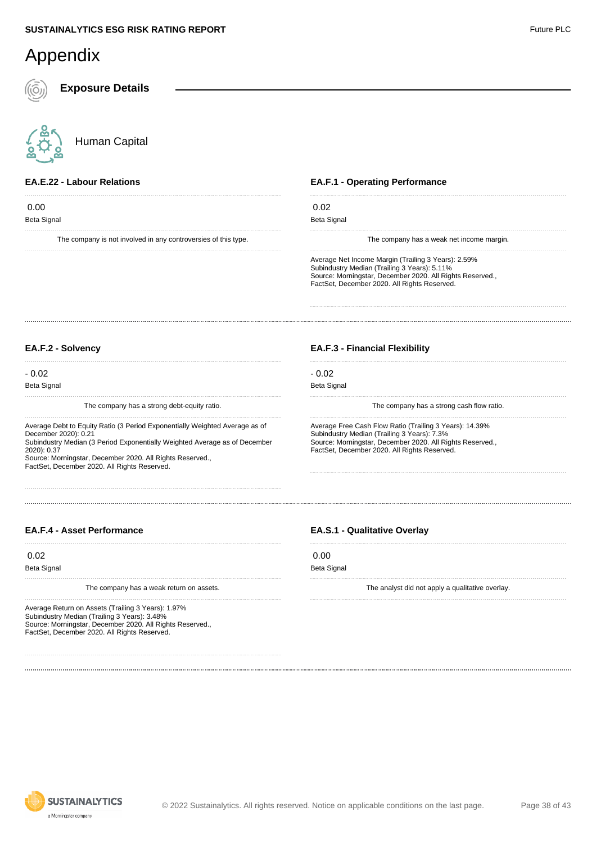| Appendix                                                                                                                                                                                                                                                                                                      |                                                                                                                                                                                                                     |
|---------------------------------------------------------------------------------------------------------------------------------------------------------------------------------------------------------------------------------------------------------------------------------------------------------------|---------------------------------------------------------------------------------------------------------------------------------------------------------------------------------------------------------------------|
| <b>Exposure Details</b>                                                                                                                                                                                                                                                                                       |                                                                                                                                                                                                                     |
| Human Capital                                                                                                                                                                                                                                                                                                 |                                                                                                                                                                                                                     |
| <b>EA.E.22 - Labour Relations</b>                                                                                                                                                                                                                                                                             | <b>EA.F.1 - Operating Performance</b>                                                                                                                                                                               |
| 0.00                                                                                                                                                                                                                                                                                                          | 0.02                                                                                                                                                                                                                |
| <b>Beta Signal</b>                                                                                                                                                                                                                                                                                            | <b>Beta Signal</b>                                                                                                                                                                                                  |
| The company is not involved in any controversies of this type.                                                                                                                                                                                                                                                | The company has a weak net income margin.                                                                                                                                                                           |
|                                                                                                                                                                                                                                                                                                               | Average Net Income Margin (Trailing 3 Years): 2.59%<br>Subindustry Median (Trailing 3 Years): 5.11%<br>Source: Morningstar, December 2020. All Rights Reserved.,<br>FactSet, December 2020. All Rights Reserved.    |
| EA.F.2 - Solvency                                                                                                                                                                                                                                                                                             | <b>EA.F.3 - Financial Flexibility</b>                                                                                                                                                                               |
| $-0.02$                                                                                                                                                                                                                                                                                                       | $-0.02$                                                                                                                                                                                                             |
| <b>Beta Signal</b>                                                                                                                                                                                                                                                                                            | <b>Beta Signal</b>                                                                                                                                                                                                  |
| The company has a strong debt-equity ratio.                                                                                                                                                                                                                                                                   | The company has a strong cash flow ratio.                                                                                                                                                                           |
| Average Debt to Equity Ratio (3 Period Exponentially Weighted Average as of<br>December 2020): 0.21<br>Subindustry Median (3 Period Exponentially Weighted Average as of December<br>2020): 0.37<br>Source: Morningstar, December 2020. All Rights Reserved.,<br>FactSet, December 2020. All Rights Reserved. | Average Free Cash Flow Ratio (Trailing 3 Years): 14.39%<br>Subindustry Median (Trailing 3 Years): 7.3%<br>Source: Morningstar, December 2020. All Rights Reserved.,<br>FactSet, December 2020. All Rights Reserved. |

#### **EA.F.4 - Asset Performance**

0.02

Beta Signal

The company has a weak return on assets.

Average Return on Assets (Trailing 3 Years): 1.97% Subindustry Median (Trailing 3 Years): 3.48% Source: Morningstar, December 2020. All Rights Reserved., FactSet, December 2020. All Rights Reserved.

#### **EA.S.1 - Qualitative Overlay**

| ٠<br>۰. | ٠ | ×<br>٩<br>۰. |
|---------|---|--------------|

Beta Signal

The analyst did not apply a qualitative overlay.

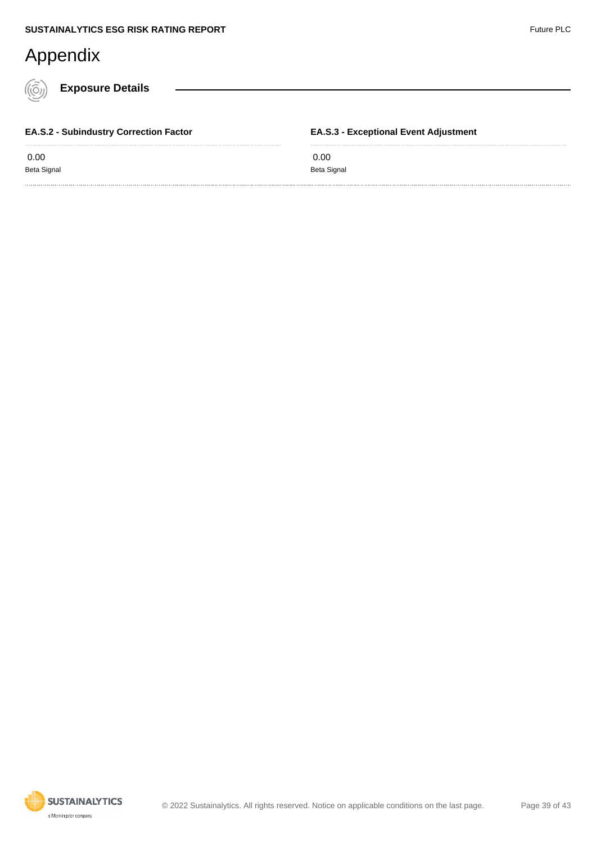**Exposure Details**

 0.00 Beta Signal

**EA.S.2 - Subindustry Correction Factor**

**EA.S.3 - Exceptional Event Adjustment**

 0.00 Beta Signal

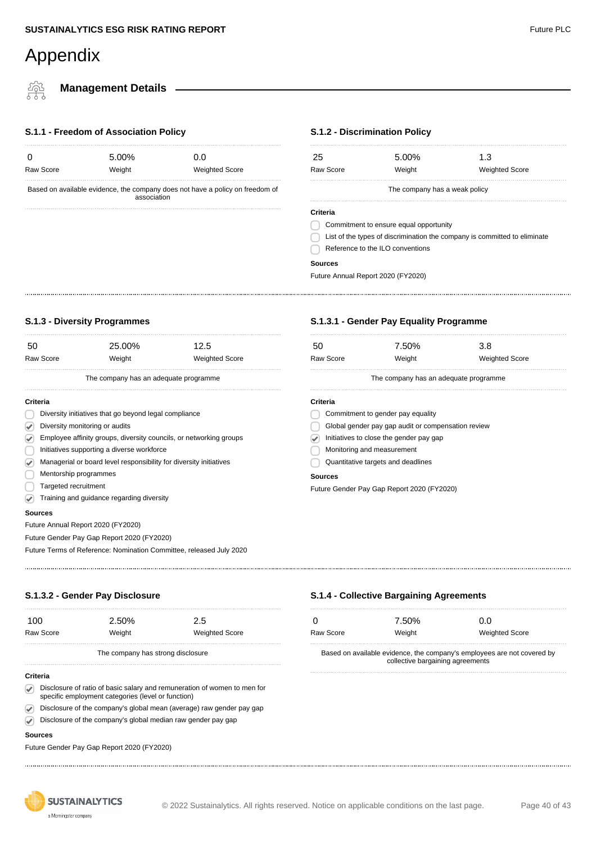**Management Details**

#### **S.1.1 - Freedom of Association Policy**

| <br>$\overline{\phantom{0}}$ | $\sim$ . |                       |
|------------------------------|----------|-----------------------|
| Raw Score                    | Weight   | <b>Weighted Score</b> |
|                              | 5.00%    | 0.0                   |
|                              |          |                       |

Based on available evidence, the company does not have a policy on freedom of association

#### **S.1.2 - Discrimination Policy**

| 25                                                                        | 5.00%  | 1.3                   |  |  |
|---------------------------------------------------------------------------|--------|-----------------------|--|--|
| Raw Score                                                                 | Weight | <b>Weighted Score</b> |  |  |
| The company has a weak policy                                             |        |                       |  |  |
| Criteria                                                                  |        |                       |  |  |
| Commitment to ensure equal opportunity                                    |        |                       |  |  |
| List of the types of discrimination the company is committed to eliminate |        |                       |  |  |
| Reference to the ILO conventions                                          |        |                       |  |  |
| Sources                                                                   |        |                       |  |  |

Future Annual Report 2020 (FY2020)

#### **S.1.3 - Diversity Programmes**

| 50                                                                  |                                                                    | 25.00% | 12.5                                  |  |
|---------------------------------------------------------------------|--------------------------------------------------------------------|--------|---------------------------------------|--|
|                                                                     | Raw Score                                                          | Weight | <b>Weighted Score</b>                 |  |
|                                                                     |                                                                    |        | The company has an adequate programme |  |
| Criteria                                                            |                                                                    |        |                                       |  |
|                                                                     | Diversity initiatives that go beyond legal compliance              |        |                                       |  |
| V                                                                   | Diversity monitoring or audits                                     |        |                                       |  |
| $\blacktriangledown$                                                | Employee affinity groups, diversity councils, or networking groups |        |                                       |  |
|                                                                     | Initiatives supporting a diverse workforce                         |        |                                       |  |
| Ø                                                                   | Managerial or board level responsibility for diversity initiatives |        |                                       |  |
|                                                                     | Mentorship programmes                                              |        |                                       |  |
|                                                                     | Targeted recruitment                                               |        |                                       |  |
| V                                                                   | Training and guidance regarding diversity                          |        |                                       |  |
| <b>Sources</b>                                                      |                                                                    |        |                                       |  |
|                                                                     | Future Annual Report 2020 (FY2020)                                 |        |                                       |  |
|                                                                     | Future Gender Pay Gap Report 2020 (FY2020)                         |        |                                       |  |
| Future Terms of Reference: Nomination Committee, released July 2020 |                                                                    |        |                                       |  |
|                                                                     |                                                                    |        |                                       |  |

#### **S.1.3.1 - Gender Pay Equality Programme**

**S.1.4 - Collective Bargaining Agreements**

0 7.50% 0.0

Raw Score **Weight** Weight Weighted Score

Based on available evidence, the company's employees are not covered by collective bargaining agreements

| 50                                                 | 7.50%                                      | 3.8                   |  |  |
|----------------------------------------------------|--------------------------------------------|-----------------------|--|--|
| Raw Score                                          | Weight                                     | <b>Weighted Score</b> |  |  |
|                                                    | The company has an adequate programme      |                       |  |  |
| Criteria                                           |                                            |                       |  |  |
| Commitment to gender pay equality                  |                                            |                       |  |  |
| Global gender pay gap audit or compensation review |                                            |                       |  |  |
| Initiatives to close the gender pay gap            |                                            |                       |  |  |
| Monitoring and measurement                         |                                            |                       |  |  |
| Quantitative targets and deadlines                 |                                            |                       |  |  |
| Sources                                            |                                            |                       |  |  |
|                                                    | Future Gender Pay Gap Report 2020 (FY2020) |                       |  |  |

#### **S.1.3.2 - Gender Pay Disclosure**

| 100                               | 2.50%  | 2.5                   |  |  |
|-----------------------------------|--------|-----------------------|--|--|
| Raw Score                         | Weight | <b>Weighted Score</b> |  |  |
| The company has strong disclosure |        |                       |  |  |

#### **Criteria**

- Disclosure of ratio of basic salary and remuneration of women to men for specific employment categories (level or function)
- Disclosure of the company's global mean (average) raw gender pay gap  $\Omega$
- Disclosure of the company's global median raw gender pay gap

#### **Sources**

Future Gender Pay Gap Report 2020 (FY2020)

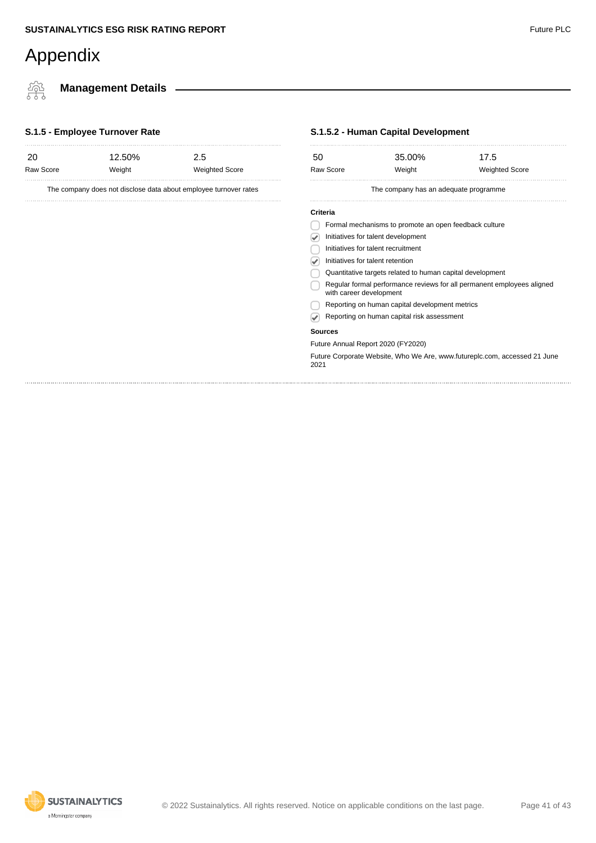橤

**Management Details**

#### **S.1.5 - Employee Turnover Rate**

| -20<br>Raw Score | 12.50%<br>Weight | 2.5<br><b>Weighted Score</b>                                     | 50<br>Raw Score |
|------------------|------------------|------------------------------------------------------------------|-----------------|
|                  |                  | The company does not disclose data about employee turnover rates |                 |
|                  |                  |                                                                  | <b>Criteria</b> |
|                  |                  |                                                                  | Form            |
|                  |                  |                                                                  | Initiat         |
|                  |                  |                                                                  | Initiat         |
|                  |                  |                                                                  | Initiat         |
|                  |                  |                                                                  | Quan            |
|                  |                  |                                                                  | Regu            |

#### **S.1.5.2 - Human Capital Development**

| 50                                                                                                | 35.00%                                                | 17.5                                                                      |  |  |  |
|---------------------------------------------------------------------------------------------------|-------------------------------------------------------|---------------------------------------------------------------------------|--|--|--|
| <b>Raw Score</b>                                                                                  | Weight                                                | <b>Weighted Score</b>                                                     |  |  |  |
|                                                                                                   | The company has an adequate programme                 |                                                                           |  |  |  |
| Criteria                                                                                          |                                                       |                                                                           |  |  |  |
|                                                                                                   | Formal mechanisms to promote an open feedback culture |                                                                           |  |  |  |
| Initiatives for talent development                                                                |                                                       |                                                                           |  |  |  |
| Initiatives for talent recruitment                                                                |                                                       |                                                                           |  |  |  |
| Initiatives for talent retention                                                                  |                                                       |                                                                           |  |  |  |
| Quantitative targets related to human capital development                                         |                                                       |                                                                           |  |  |  |
| Regular formal performance reviews for all permanent employees aligned<br>with career development |                                                       |                                                                           |  |  |  |
|                                                                                                   | Reporting on human capital development metrics        |                                                                           |  |  |  |
|                                                                                                   | Reporting on human capital risk assessment            |                                                                           |  |  |  |
| <b>Sources</b>                                                                                    |                                                       |                                                                           |  |  |  |
| Future Annual Report 2020 (FY2020)                                                                |                                                       |                                                                           |  |  |  |
| 2021                                                                                              |                                                       | Future Corporate Website, Who We Are, www.futureplc.com, accessed 21 June |  |  |  |
|                                                                                                   |                                                       |                                                                           |  |  |  |
|                                                                                                   |                                                       |                                                                           |  |  |  |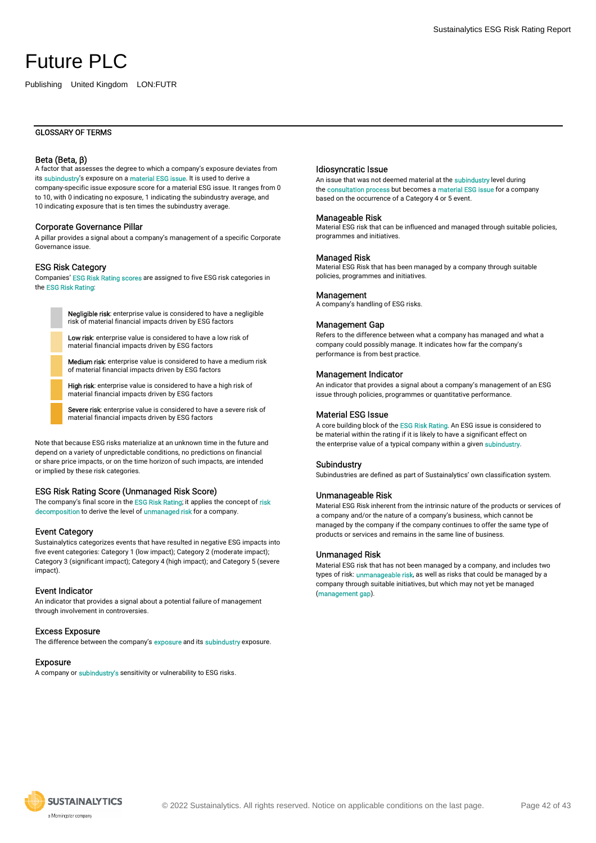Publishing United Kingdom LON:FUTR

#### Beta (Beta, β)

A factor that assesses the degree to which a company's exposure deviates from its subindustry's exposure on a material ESG issue. It is used to derive a company-specific issue exposure score for a material ESG issue. It ranges from 0 to 10, with 0 indicating no exposure, 1 indicating the subindustry average, and 10 indicating exposure that is ten times the subindustry average.

#### Corporate Governance Pillar

A pillar provides a signal about a company's management of a specific Corporate Governance issue.

#### ESG Risk Category

Companies' ESG Risk Rating scores are assigned to five ESG risk categories in the ESG Risk Rating:

> Negligible risk: enterprise value is considered to have a negligible risk of material financial impacts driven by ESG factors

Low risk: enterprise value is considered to have a low risk of material financial impacts driven by ESG factors

Medium risk: enterprise value is considered to have a medium risk of material financial impacts driven by ESG factors

High risk: enterprise value is considered to have a high risk of material financial impacts driven by ESG factors

Severe risk: enterprise value is considered to have a severe risk of material financial impacts driven by ESG factors

Note that because ESG risks materialize at an unknown time in the future and depend on a variety of unpredictable conditions, no predictions on financial or share price impacts, or on the time horizon of such impacts, are intended or implied by these risk categories.

#### ESG Risk Rating Score (Unmanaged Risk Score)

The company's final score in the ESG Risk Rating; it applies the concept of risk decomposition to derive the level of unmanaged risk for a company.

#### Event Category

Sustainalytics categorizes events that have resulted in negative ESG impacts into five event categories: Category 1 (low impact); Category 2 (moderate impact); Category 3 (significant impact); Category 4 (high impact); and Category 5 (severe impact).

#### Event Indicator

An indicator that provides a signal about a potential failure of management through involvement in controversies.

#### Excess Exposure

The difference between the company's **exposure** and its **subindustry** exposure.

#### Exposure

A company or subindustry's sensitivity or vulnerability to ESG risks.

#### Idiosyncratic Issue

An issue that was not deemed material at the subindustry level during the consultation process but becomes a material ESG issue for a company based on the occurrence of a Category 4 or 5 event.

#### Manageable Risk

Material ESG risk that can be influenced and managed through suitable policies, programmes and initiatives.

#### Managed Risk

Material ESG Risk that has been managed by a company through suitable policies, programmes and initiatives.

#### **Management**

A company's handling of ESG risks.

#### Management Gap

Refers to the difference between what a company has managed and what a company could possibly manage. It indicates how far the company's performance is from best practice.

#### Management Indicator

An indicator that provides a signal about a company's management of an ESG issue through policies, programmes or quantitative performance.

#### Material ESG Issue

A core building block of the ESG Risk Rating. An ESG issue is considered to be material within the rating if it is likely to have a significant effect on the enterprise value of a typical company within a given subindustry.

#### Subindustry

Subindustries are defined as part of Sustainalytics' own classification system.

#### Unmanageable Risk

Material ESG Risk inherent from the intrinsic nature of the products or services of a company and/or the nature of a company's business, which cannot be managed by the company if the company continues to offer the same type of products or services and remains in the same line of business.

#### Unmanaged Risk

Material ESG risk that has not been managed by a company, and includes two types of risk: *unmanageable risk*, as well as risks that could be managed by a company through suitable initiatives, but which may not yet be managed (management gap).